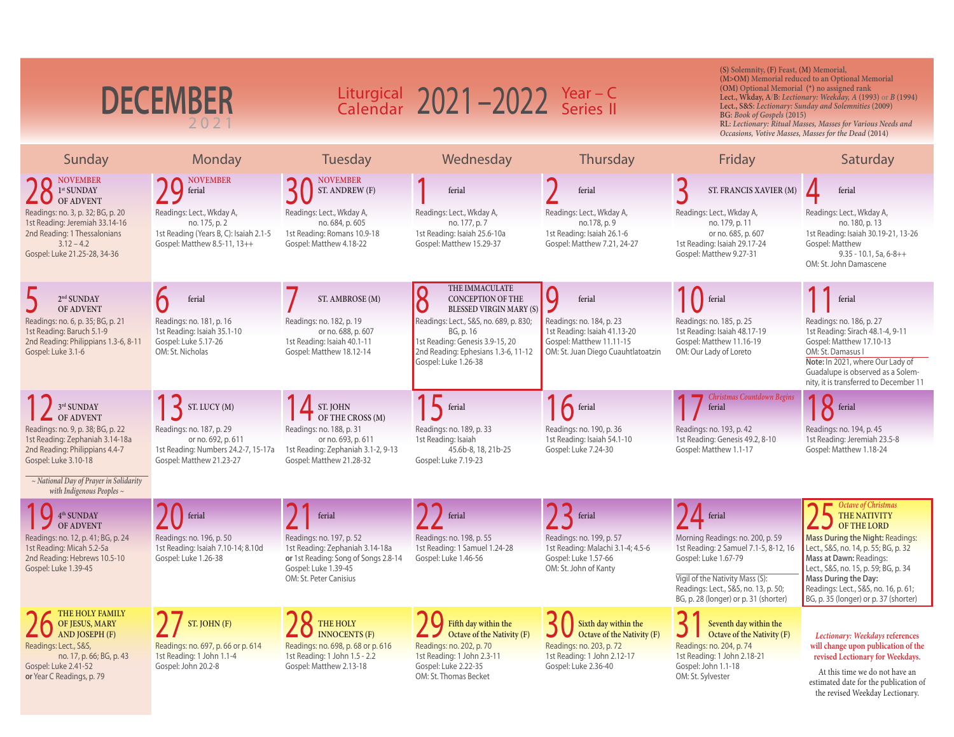| <b>DECEMBER</b><br>202                                                                                                                                        |                                                                                                                      | Liturgical $2021 - 2022$ Year - C<br>Calendar $2021 - 2022$ Series II                                                              |                                                                                                                                                               |                                                                                                                                       | (S) Solemnity, (F) Feast, (M) Memorial,<br>(M>OM) Memorial reduced to an Optional Memorial<br>(OM) Optional Memorial (*) no assigned rank<br>Lect., Wkday, A/B: Lectionary: Weekday, A (1993) or B (1994)<br>Lect., S&S: Lectionary: Sunday and Solemnities (2009)<br>BG: Book of Gospels (2015)<br>RL: Lectionary: Ritual Masses, Masses for Various Needs and<br>Occasions, Votive Masses, Masses for the Dead (2014) |                                                                                                                                                                                                                                  |
|---------------------------------------------------------------------------------------------------------------------------------------------------------------|----------------------------------------------------------------------------------------------------------------------|------------------------------------------------------------------------------------------------------------------------------------|---------------------------------------------------------------------------------------------------------------------------------------------------------------|---------------------------------------------------------------------------------------------------------------------------------------|-------------------------------------------------------------------------------------------------------------------------------------------------------------------------------------------------------------------------------------------------------------------------------------------------------------------------------------------------------------------------------------------------------------------------|----------------------------------------------------------------------------------------------------------------------------------------------------------------------------------------------------------------------------------|
| Sunday                                                                                                                                                        | Monday                                                                                                               | Tuesday                                                                                                                            | Wednesday                                                                                                                                                     | Thursday                                                                                                                              | Friday                                                                                                                                                                                                                                                                                                                                                                                                                  | Saturday                                                                                                                                                                                                                         |
| <b>NOVEMBER</b><br>1 <sup>st</sup> SUNDAY<br><b>OF ADVENT</b>                                                                                                 | <b>NOVEMBER</b><br>ferial                                                                                            | <b>NOVEMBER</b><br>ST. ANDREW (F)                                                                                                  | ferial                                                                                                                                                        | ferial                                                                                                                                | ST. FRANCIS XAVIER (M)                                                                                                                                                                                                                                                                                                                                                                                                  | ferial                                                                                                                                                                                                                           |
| Readings: no. 3, p. 32; BG, p. 20<br>1st Reading: Jeremiah 33.14-16<br>2nd Reading: 1 Thessalonians<br>$3.12 - 4.2$<br>Gospel: Luke 21.25-28, 34-36           | Readings: Lect., Wkday A,<br>no. 175, p. 2<br>1st Reading (Years B, C): Isaiah 2.1-5<br>Gospel: Matthew 8.5-11, 13++ | Readings: Lect., Wkday A,<br>no. 684, p. 605<br>1st Reading: Romans 10.9-18<br>Gospel: Matthew 4.18-22                             | Readings: Lect., Wkday A,<br>no. 177, p. 7<br>1st Reading: Isaiah 25.6-10a<br>Gospel: Matthew 15.29-37                                                        | Readings: Lect., Wkday A,<br>no.178, p. 9<br>1st Reading: Isaiah 26.1-6<br>Gospel: Matthew 7.21, 24-27                                | Readings: Lect., Wkday A,<br>no. 179, p. 11<br>or no. 685, p. 607<br>1st Reading: Isaiah 29.17-24<br>Gospel: Matthew 9.27-31                                                                                                                                                                                                                                                                                            | Readings: Lect., Wkday A,<br>no. 180, p. 13<br>1st Reading: Isaiah 30.19-21, 13-26<br>Gospel: Matthew<br>$9.35 - 10.1, 5a, 6-8++$<br>OM: St. John Damascene                                                                      |
| $2nd$ SUNDAY<br><b>OF ADVENT</b>                                                                                                                              | ferial                                                                                                               | ST. AMBROSE (M)                                                                                                                    | THE IMMACULATE<br>8<br><b>CONCEPTION OF THE</b><br><b>BLESSED VIRGIN MARY (S)</b>                                                                             | Ő<br>ferial                                                                                                                           | <b>ferial</b>                                                                                                                                                                                                                                                                                                                                                                                                           | ferial                                                                                                                                                                                                                           |
| Readings: no. 6, p. 35; BG, p. 21<br>1st Reading: Baruch 5.1-9<br>2nd Reading: Philippians 1.3-6, 8-11<br>Gospel: Luke 3.1-6                                  | Readings: no. 181, p. 16<br>1st Reading: Isaiah 35.1-10<br>Gospel: Luke 5.17-26<br>OM: St. Nicholas                  | Readings: no. 182, p. 19<br>or no. 688, p. 607<br>1st Reading: Isaiah 40.1-11<br>Gospel: Matthew 18.12-14                          | Readings: Lect., S&S, no. 689, p. 830;<br>BG, p. 16<br>1st Reading: Genesis 3.9-15, 20<br>2nd Reading: Ephesians 1.3-6, 11-12<br>Gospel: Luke 1.26-38         | Readings: no. 184, p. 23<br>1st Reading: Isaiah 41.13-20<br>Gospel: Matthew 11.11-15<br>OM: St. Juan Diego Cuauhtlatoatzin            | Readings: no. 185, p. 25<br>1st Reading: Isaiah 48.17-19<br>Gospel: Matthew 11.16-19<br>OM: Our Lady of Loreto                                                                                                                                                                                                                                                                                                          | Readings: no. 186, p. 27<br>1st Reading: Sirach 48.1-4, 9-11<br>Gospel: Matthew 17.10-13<br>OM: St. Damasus I<br>Note: In 2021, where Our Lady of<br>Guadalupe is observed as a Solem-<br>nity, it is transferred to December 11 |
| 3rd SUNDAY<br><b>OF ADVENT</b>                                                                                                                                | ST. LUCY(M)                                                                                                          | ST. JOHN<br>OF THE CROSS (M)                                                                                                       | ferial                                                                                                                                                        | $16$ ferial                                                                                                                           | <b>Christmas Countdown Begins</b><br>ferial                                                                                                                                                                                                                                                                                                                                                                             | 18 ferial                                                                                                                                                                                                                        |
| Readings: no. 9, p. 38; BG, p. 22<br>1st Reading: Zephaniah 3.14-18a<br>2nd Reading: Philippians 4.4-7<br>Gospel: Luke 3.10-18                                | Readings: no. 187, p. 29<br>or no. 692, p. 611<br>1st Reading: Numbers 24.2-7, 15-17a<br>Gospel: Matthew 21.23-27    | Readings: no. 188, p. 31<br>or no. 693, p. 611<br>1st Reading: Zephaniah 3.1-2, 9-13<br>Gospel: Matthew 21.28-32                   | Readings: no. 189, p. 33<br>1st Reading: Isaiah<br>45.6b-8, 18, 21b-25<br>Gospel: Luke 7.19-23                                                                | Readings: no. 190, p. 36<br>1st Reading: Isaiah 54.1-10<br>Gospel: Luke 7.24-30                                                       | Readings: no. 193, p. 42<br>1st Reading: Genesis 49.2, 8-10<br>Gospel: Matthew 1.1-17                                                                                                                                                                                                                                                                                                                                   | Readings: no. 194, p. 45<br>1st Reading: Jeremiah 23.5-8<br>Gospel: Matthew 1.18-24                                                                                                                                              |
| $\sim$ National Day of Prayer in Solidarity<br>with Indigenous Peoples $\sim$                                                                                 |                                                                                                                      |                                                                                                                                    |                                                                                                                                                               |                                                                                                                                       |                                                                                                                                                                                                                                                                                                                                                                                                                         |                                                                                                                                                                                                                                  |
| 4 <sup>th</sup> SUNDAY<br>OF ADVENT                                                                                                                           | ferial                                                                                                               | ferial                                                                                                                             | ferial                                                                                                                                                        | $\left\{ \right.$ ferial                                                                                                              | $\sqrt{L}$ ferial                                                                                                                                                                                                                                                                                                                                                                                                       | Octave of Christmas<br>THE NATIVITY<br>OF THE LORD                                                                                                                                                                               |
| Readings: no. 12, p. 41; BG, p. 24<br>1st Reading: Micah 5.2-5a<br>2nd Reading: Hebrews 10.5-10<br>Gospel: Luke 1.39-45                                       | Readings: no. 196, p. 50<br>1st Reading: Isaiah 7.10-14; 8.10d<br>Gospel: Luke 1.26-38                               | Readings: no. 197, p. 52<br>1st Reading: Zephaniah 3.14-18a<br>or 1st Reading: Song of Songs 2.8-14<br>Gospel: Luke 1.39-45        | Readings: no. 198, p. 55<br>1st Reading: 1 Samuel 1.24-28<br>Gospel: Luke 1.46-56                                                                             | Readings: no. 199, p. 57<br>1st Reading: Malachi 3.1-4; 4.5-6<br>Gospel: Luke 1.57-66<br>OM: St. John of Kanty                        | Morning Readings: no. 200, p. 59<br>1st Reading: 2 Samuel 7.1-5, 8-12, 16<br>Gospel: Luke 1.67-79                                                                                                                                                                                                                                                                                                                       | Mass During the Night: Readings:<br>Lect., S&S, no. 14, p. 55; BG, p. 32<br>Mass at Dawn: Readings:<br>Lect., S&S, no. 15, p. 59; BG, p. 34                                                                                      |
|                                                                                                                                                               |                                                                                                                      | OM: St. Peter Canisius                                                                                                             |                                                                                                                                                               |                                                                                                                                       | Vigil of the Nativity Mass (S):<br>Readings: Lect., S&S, no. 13, p. 50;<br>BG, p. 28 (longer) or p. 31 (shorter)                                                                                                                                                                                                                                                                                                        | <b>Mass During the Day:</b><br>Readings: Lect., S&S, no. 16, p. 61;<br>BG, p. 35 (longer) or p. 37 (shorter)                                                                                                                     |
| THE HOLY FAMILY<br>OF JESUS, MARY<br>AND JOSEPH (F)<br>Readings: Lect., S&S,<br>no. 17, p. 66; BG, p. 43<br>Gospel: Luke 2.41-52<br>or Year C Readings, p. 79 | ST. JOHN (F)<br>Readings: no. 697, p. 66 or p. 614<br>1st Reading: 1 John 1.1-4<br>Gospel: John 20.2-8               | THE HOLY<br><b>INNOCENTS (F)</b><br>Readings: no. 698, p. 68 or p. 616<br>1st Reading: 1 John 1.5 - 2.2<br>Gospel: Matthew 2.13-18 | Fifth day within the<br>Octave of the Nativity (F)<br>Readings: no. 202, p. 70<br>1st Reading: 1 John 2.3-11<br>Gospel: Luke 2.22-35<br>OM: St. Thomas Becket | Sixth day within the<br>Octave of the Nativity (F)<br>Readings: no. 203, p. 72<br>1st Reading: 1 John 2.12-17<br>Gospel: Luke 2.36-40 | Seventh day within the<br>Octave of the Nativity (F)<br>Readings: no. 204, p. 74<br>1st Reading: 1 John 2.18-21<br>Gospel: John 1.1-18<br>OM: St. Sylvester                                                                                                                                                                                                                                                             | Lectionary: Weekdays references<br>will change upon publication of the<br>revised Lectionary for Weekdays.<br>At this time we do not have an<br>estimated date for the publication of<br>the revised Weekday Lectionary.         |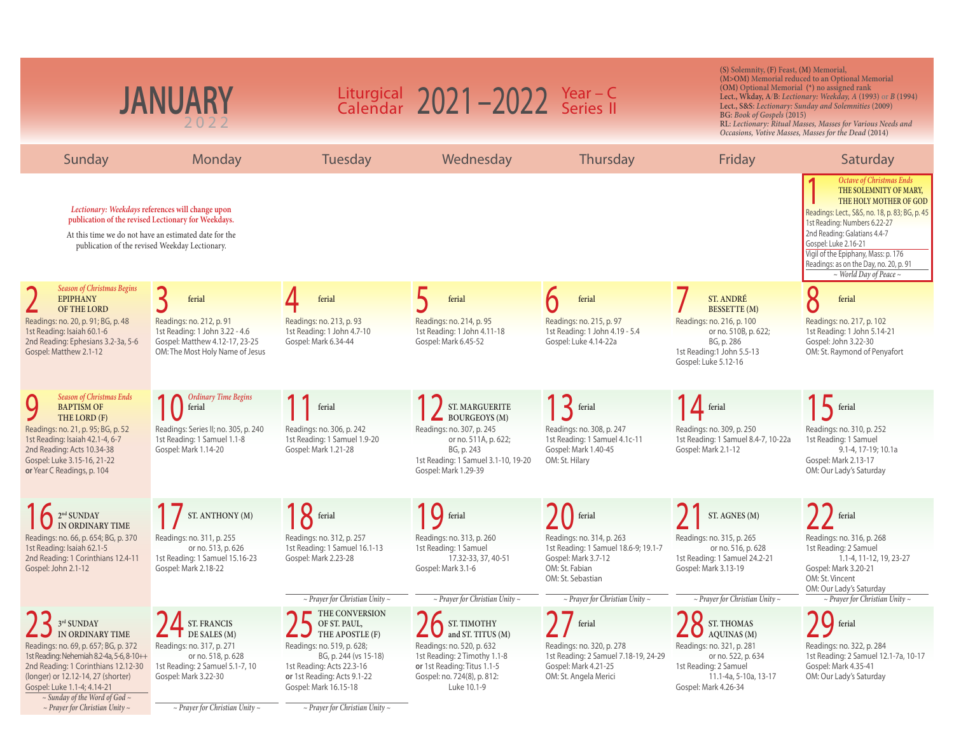| <b>JANUARY</b>                                                                                                                                                                                                                           |                                                                                                                                 | Liturgical $2021 - 2022$ Year - C<br>Calendar $2021 - 2022$ Series II                                                                    |                                                                                                                                                        |                                                                                                                                 | (S) Solemnity, (F) Feast, (M) Memorial,<br>(M>OM) Memorial reduced to an Optional Memorial<br>(OM) Optional Memorial (*) no assigned rank<br>Lect., Wkday, A/B: Lectionary: Weekday, A (1993) or B (1994)<br>Lect., S&S: Lectionary: Sunday and Solemnities (2009)<br>BG: Book of Gospels (2015)<br>RL: Lectionary: Ritual Masses, Masses for Various Needs and<br>Occasions, Votive Masses, Masses for the Dead (2014) |                                                                                                                                                                                                                                                                                                                                                    |
|------------------------------------------------------------------------------------------------------------------------------------------------------------------------------------------------------------------------------------------|---------------------------------------------------------------------------------------------------------------------------------|------------------------------------------------------------------------------------------------------------------------------------------|--------------------------------------------------------------------------------------------------------------------------------------------------------|---------------------------------------------------------------------------------------------------------------------------------|-------------------------------------------------------------------------------------------------------------------------------------------------------------------------------------------------------------------------------------------------------------------------------------------------------------------------------------------------------------------------------------------------------------------------|----------------------------------------------------------------------------------------------------------------------------------------------------------------------------------------------------------------------------------------------------------------------------------------------------------------------------------------------------|
| Sunday                                                                                                                                                                                                                                   | Monday                                                                                                                          | Tuesday                                                                                                                                  | Wednesday                                                                                                                                              | Thursday                                                                                                                        | Friday                                                                                                                                                                                                                                                                                                                                                                                                                  | Saturday                                                                                                                                                                                                                                                                                                                                           |
| Lectionary: Weekdays references will change upon<br>publication of the revised Lectionary for Weekdays.<br>At this time we do not have an estimated date for the<br>publication of the revised Weekday Lectionary.                       |                                                                                                                                 |                                                                                                                                          |                                                                                                                                                        |                                                                                                                                 |                                                                                                                                                                                                                                                                                                                                                                                                                         | <b>Octave of Christmas Ends</b><br>THE SOLEMNITY OF MARY,<br>THE HOLY MOTHER OF GOD<br>Readings: Lect., S&S, no. 18, p. 83; BG, p. 45<br>1st Reading: Numbers 6.22-27<br>2nd Reading: Galatians 4.4-7<br>Gospel: Luke 2.16-21<br>Vigil of the Epiphany, Mass: p. 176<br>Readings: as on the Day, no. 20, p. 91<br>$\sim$ World Day of Peace $\sim$ |
| <b>Season of Christmas Begins</b><br><b>EPIPHANY</b>                                                                                                                                                                                     | ferial                                                                                                                          | ferial                                                                                                                                   | ferial                                                                                                                                                 | ferial                                                                                                                          | ST. ANDRÉ<br><b>BESSETTE</b> (M)                                                                                                                                                                                                                                                                                                                                                                                        | Q<br>ferial                                                                                                                                                                                                                                                                                                                                        |
| OF THE LORD<br>Readings: no. 20, p. 91; BG, p. 48<br>1st Reading: Isaiah 60.1-6<br>2nd Reading: Ephesians 3.2-3a, 5-6<br>Gospel: Matthew 2.1-12                                                                                          | Readings: no. 212, p. 91<br>1st Reading: 1 John 3.22 - 4.6<br>Gospel: Matthew 4.12-17, 23-25<br>OM: The Most Holy Name of Jesus | Readings: no. 213, p. 93<br>1st Reading: 1 John 4.7-10<br>Gospel: Mark 6.34-44                                                           | Readings: no. 214, p. 95<br>1st Reading: 1 John 4.11-18<br>Gospel: Mark 6.45-52                                                                        | Readings: no. 215, p. 97<br>1st Reading: 1 John 4.19 - 5.4<br>Gospel: Luke 4.14-22a                                             | Readings: no. 216, p. 100<br>or no. 510B, p. 622;<br>BG, p. 286<br>1st Reading:1 John 5.5-13<br>Gospel: Luke 5.12-16                                                                                                                                                                                                                                                                                                    | Readings: no. 217, p. 102<br>1st Reading: 1 John 5.14-21<br>Gospel: John 3.22-30<br>OM: St. Raymond of Penyafort                                                                                                                                                                                                                                   |
| <b>Season of Christmas Ends</b><br><b>BAPTISM OF</b>                                                                                                                                                                                     | <b>Ordinary Time Begins</b><br>ferial                                                                                           | ferial                                                                                                                                   | ST. MARGUERITE                                                                                                                                         | $13$ ferial                                                                                                                     | $\sum$ ferial                                                                                                                                                                                                                                                                                                                                                                                                           | $15$ ferial                                                                                                                                                                                                                                                                                                                                        |
| THE LORD (F)<br>Readings: no. 21, p. 95; BG, p. 52<br>1st Reading: Isaiah 42.1-4, 6-7<br>2nd Reading: Acts 10.34-38<br>Gospel: Luke 3.15-16, 21-22<br>or Year C Readings, p. 104                                                         | Readings: Series II; no. 305, p. 240<br>1st Reading: 1 Samuel 1.1-8<br>Gospel: Mark 1.14-20                                     | Readings: no. 306, p. 242<br>1st Reading: 1 Samuel 1.9-20<br>Gospel: Mark 1.21-28                                                        | <b>BOURGEOYS</b> (M)<br>Readings: no. 307, p. 245<br>or no. 511A, p. 622;<br>BG, p. 243<br>1st Reading: 1 Samuel 3.1-10, 19-20<br>Gospel: Mark 1.29-39 | Readings: no. 308, p. 247<br>1st Reading: 1 Samuel 4.1c-11<br>Gospel: Mark 1.40-45<br>OM: St. Hilary                            | Readings: no. 309, p. 250<br>1st Reading: 1 Samuel 8.4-7, 10-22a<br>Gospel: Mark 2.1-12                                                                                                                                                                                                                                                                                                                                 | Readings: no. 310, p. 252<br>1st Reading: 1 Samuel<br>9.1-4, 17-19; 10.1a<br>Gospel: Mark 2.13-17<br>OM: Our Lady's Saturday                                                                                                                                                                                                                       |
| <sup>2<sup>nd</sup> SUNDAY IME IN ORDINARY TIME</sup>                                                                                                                                                                                    | ST. ANTHONY (M)                                                                                                                 | $8$ ferial                                                                                                                               | ferial                                                                                                                                                 | ferial                                                                                                                          | ST. AGNES (M)                                                                                                                                                                                                                                                                                                                                                                                                           | ferial                                                                                                                                                                                                                                                                                                                                             |
| Readings: no. 66, p. 654; BG, p. 370<br>1st Reading: Isaiah 62.1-5<br>2nd Reading: 1 Corinthians 12.4-11<br>Gospel: John 2.1-12                                                                                                          | Readings: no. 311, p. 255<br>or no. 513, p. 626<br>1st Reading: 1 Samuel 15.16-23<br>Gospel: Mark 2.18-22                       | Readings: no. 312, p. 257<br>1st Reading: 1 Samuel 16.1-13<br>Gospel: Mark 2.23-28                                                       | Readings: no. 313, p. 260<br>1st Reading: 1 Samuel<br>17.32-33, 37, 40-51<br>Gospel: Mark 3.1-6                                                        | Readings: no. 314, p. 263<br>1st Reading: 1 Samuel 18.6-9; 19.1-7<br>Gospel: Mark 3.7-12<br>OM: St. Fabian<br>OM: St. Sebastian | Readings: no. 315, p. 265<br>or no. 516, p. 628<br>1st Reading: 1 Samuel 24.2-21<br>Gospel: Mark 3.13-19                                                                                                                                                                                                                                                                                                                | Readings: no. 316, p. 268<br>1st Reading: 2 Samuel<br>1.1-4, 11-12, 19, 23-27<br>Gospel: Mark 3.20-21<br>OM: St. Vincent<br>OM: Our Lady's Saturday                                                                                                                                                                                                |
| 3rd SUNDAY                                                                                                                                                                                                                               | <b>ST. FRANCIS</b>                                                                                                              | $\sim$ Prayer for Christian Unity $\sim$<br>THE CONVERSION<br>OF ST. PAUL,                                                               | $\sim$ Prayer for Christian Unity $\sim$<br>ST. TIMOTHY                                                                                                | $\sim$ Prayer for Christian Unity $\sim$<br>ferial                                                                              | $\sim$ Prayer for Christian Unity $\sim$<br>ST. THOMAS                                                                                                                                                                                                                                                                                                                                                                  | $\sim$ Prayer for Christian Unity $\sim$<br>ferial                                                                                                                                                                                                                                                                                                 |
| IN ORDINARY TIME                                                                                                                                                                                                                         | $\blacksquare$ DE SALES (M)                                                                                                     | THE APOSTLE (F)                                                                                                                          | and ST. TITUS (M)                                                                                                                                      |                                                                                                                                 | AQUINAS (M)                                                                                                                                                                                                                                                                                                                                                                                                             |                                                                                                                                                                                                                                                                                                                                                    |
| Readings: no. 69, p. 657; BG, p. 372<br>1st Reading: Nehemiah 8.2-4a, 5-6, 8-10++<br>2nd Reading: 1 Corinthians 12.12-30<br>(longer) or 12.12-14, 27 (shorter)<br>Gospel: Luke 1.1-4; 4.14-21<br>$\sim$ Sunday of the Word of God $\sim$ | Readings: no. 317, p. 271<br>or no. 518, p. 628<br>1st Reading: 2 Samuel 5.1-7, 10<br>Gospel: Mark 3.22-30                      | Readings: no. 519, p. 628;<br>BG, p. 244 (vs 15-18)<br>1st Reading: Acts 22.3-16<br>or 1st Reading: Acts 9.1-22<br>Gospel: Mark 16.15-18 | Readings: no. 520, p. 632<br>1st Reading: 2 Timothy 1.1-8<br>or 1st Reading: Titus 1.1-5<br>Gospel: no. 724(8), p. 812:<br>Luke 10.1-9                 | Readings: no. 320, p. 278<br>1st Reading: 2 Samuel 7.18-19, 24-29<br>Gospel: Mark 4.21-25<br>OM: St. Angela Merici              | Readings: no. 321, p. 281<br>or no. 522, p. 634<br>1st Reading: 2 Samuel<br>11.1-4a, 5-10a, 13-17<br>Gospel: Mark 4.26-34                                                                                                                                                                                                                                                                                               | Readings: no. 322, p. 284<br>1st Reading: 2 Samuel 12.1-7a, 10-17<br>Gospel: Mark 4.35-41<br>OM: Our Lady's Saturday                                                                                                                                                                                                                               |
| $\sim$ Prayer for Christian Unity $\sim$                                                                                                                                                                                                 | $\sim$ Prayer for Christian Unity $\sim$                                                                                        | $\sim$ Prayer for Christian Unity $\sim$                                                                                                 |                                                                                                                                                        |                                                                                                                                 |                                                                                                                                                                                                                                                                                                                                                                                                                         |                                                                                                                                                                                                                                                                                                                                                    |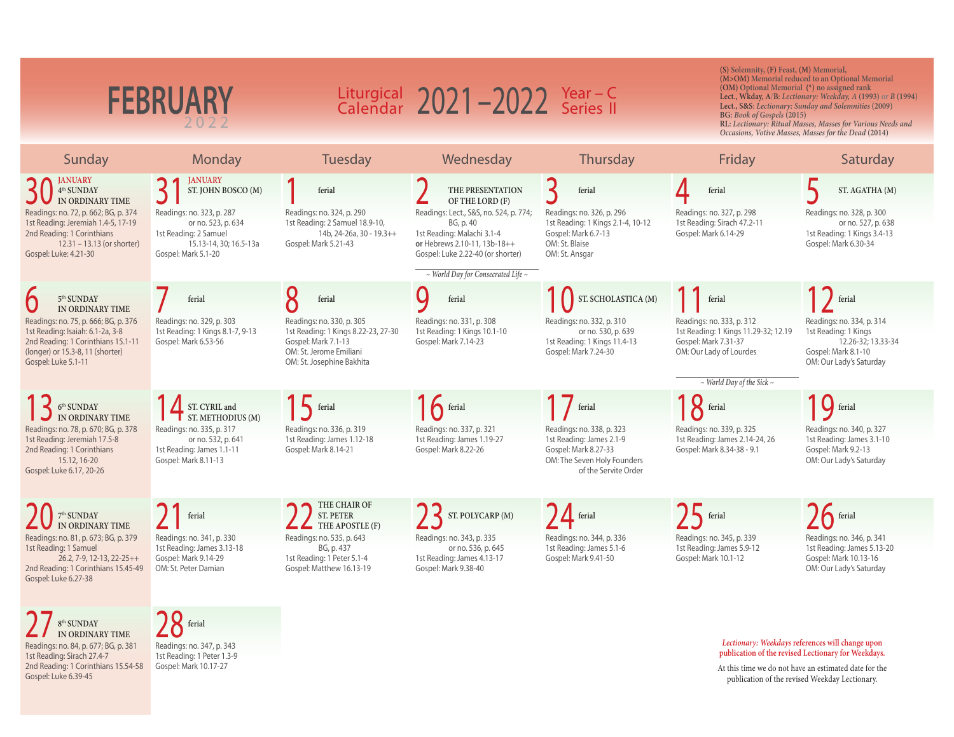|                                                                                                                                                                           | <b>FEBRUARY</b>                                                                                                           |                                                                                                                                                 | Liturgical $2021 - 2022$ Year - C<br>Calendar $2021 - 2022$ Series II                                                                                  |                                                                                                                                      | (S) Solemnity, (F) Feast, (M) Memorial,<br>(OM) Optional Memorial (*) no assigned rank<br>BG: Book of Gospels (2015) | (M>OM) Memorial reduced to an Optional Memorial<br>Lect., Wkday, A/B: Lectionary: Weekday, A (1993) or B (1994)<br>Lect., S&S: Lectionary: Sunday and Solemnities (2009) |
|---------------------------------------------------------------------------------------------------------------------------------------------------------------------------|---------------------------------------------------------------------------------------------------------------------------|-------------------------------------------------------------------------------------------------------------------------------------------------|--------------------------------------------------------------------------------------------------------------------------------------------------------|--------------------------------------------------------------------------------------------------------------------------------------|----------------------------------------------------------------------------------------------------------------------|--------------------------------------------------------------------------------------------------------------------------------------------------------------------------|
|                                                                                                                                                                           |                                                                                                                           |                                                                                                                                                 |                                                                                                                                                        |                                                                                                                                      |                                                                                                                      | RL: Lectionary: Ritual Masses, Masses for Various Needs and<br>Occasions, Votive Masses, Masses for the Dead (2014)                                                      |
| Sunday                                                                                                                                                                    | Monday                                                                                                                    | Tuesday                                                                                                                                         | Wednesday                                                                                                                                              | Thursday                                                                                                                             | Friday                                                                                                               | Saturday                                                                                                                                                                 |
| <b>JANUARY</b><br>$4^{\rm th}$ SUNDAY<br>IN ORDINARY TIME                                                                                                                 | <b>JANUARY</b><br>ST. JOHN BOSCO (M)                                                                                      | ferial                                                                                                                                          | THE PRESENTATION<br>OF THE LORD (F)                                                                                                                    | 3<br>ferial                                                                                                                          | ferial                                                                                                               | ST. AGATHA (M)                                                                                                                                                           |
| Readings: no. 72, p. 662; BG, p. 374<br>1st Reading: Jeremiah 1.4-5, 17-19<br>2nd Reading: 1 Corinthians<br>$12.31 - 13.13$ (or shorter)<br>Gospel: Luke: 4.21-30         | Readings: no. 323, p. 287<br>or no. 523, p. 634<br>1st Reading: 2 Samuel<br>15.13-14, 30: 16.5-13a<br>Gospel: Mark 5.1-20 | Readings: no. 324, p. 290<br>1st Reading: 2 Samuel 18.9-10,<br>14b, 24-26a, 30 - 19.3++<br>Gospel: Mark 5.21-43                                 | Readings: Lect., S&S, no. 524, p. 774;<br>BG, p. 40<br>1st Reading: Malachi 3.1-4<br>or Hebrews 2.10-11, 13b-18++<br>Gospel: Luke 2.22-40 (or shorter) | Readings: no. 326, p. 296<br>1st Reading: 1 Kings 2.1-4, 10-12<br>Gospel: Mark 6.7-13<br>OM: St. Blaise<br>OM: St. Ansgar            | Readings: no. 327, p. 298<br>1st Reading: Sirach 47.2-11<br>Gospel: Mark 6.14-29                                     | Readings: no. 328, p. 300<br>or no. 527, p. 638<br>1st Reading: 1 Kings 3.4-13<br>Gospel: Mark 6.30-34                                                                   |
|                                                                                                                                                                           |                                                                                                                           |                                                                                                                                                 | $\sim$ World Day for Consecrated Life $\sim$                                                                                                           |                                                                                                                                      |                                                                                                                      |                                                                                                                                                                          |
| 5 <sup>th</sup> SUNDAY<br>IN ORDINARY TIME                                                                                                                                | ferial                                                                                                                    | 8<br>ferial                                                                                                                                     | ferial                                                                                                                                                 | ST. SCHOLASTICA (M)                                                                                                                  | ferial                                                                                                               | ferial                                                                                                                                                                   |
| Readings: no. 75, p. 666; BG, p. 376<br>1st Reading: Isaiah: 6.1-2a, 3-8<br>2nd Reading: 1 Corinthians 15.1-11<br>(longer) or 15.3-8, 11 (shorter)<br>Gospel: Luke 5.1-11 | Readings: no. 329, p. 303<br>1st Reading: 1 Kings 8.1-7, 9-13<br>Gospel: Mark 6.53-56                                     | Readings: no. 330, p. 305<br>1st Reading: 1 Kings 8.22-23, 27-30<br>Gospel: Mark 7.1-13<br>OM: St. Jerome Emiliani<br>OM: St. Josephine Bakhita | Readings: no. 331, p. 308<br>1st Reading: 1 Kings 10.1-10<br>Gospel: Mark 7.14-23                                                                      | Readings: no. 332, p. 310<br>or no. 530, p. 639<br>1st Reading: 1 Kings 11.4-13<br>Gospel: Mark 7.24-30                              | Readings: no. 333, p. 312<br>1st Reading: 1 Kings 11.29-32; 12.19<br>Gospel: Mark 7.31-37<br>OM: Our Lady of Lourdes | Readings: no. 334, p. 314<br>1st Reading: 1 Kings<br>12.26-32; 13.33-34<br>Gospel: Mark 8.1-10<br>OM: Our Lady's Saturday                                                |
|                                                                                                                                                                           |                                                                                                                           |                                                                                                                                                 |                                                                                                                                                        |                                                                                                                                      | $\sim$ World Day of the Sick $\sim$                                                                                  |                                                                                                                                                                          |
| $6th$ SUNDAY<br>IN ORDINARY TIME                                                                                                                                          | ST. CYRIL and<br>$\blacksquare$ ST. METHODIUS (M)                                                                         | <b>A</b> ferial                                                                                                                                 | $16$ ferial                                                                                                                                            | $\int$ ferial                                                                                                                        | $\mathsf{R}$ ferial                                                                                                  | <b>Q</b> ferial                                                                                                                                                          |
| Readings: no. 78, p. 670; BG, p. 378<br>1st Reading: Jeremiah 17.5-8<br>2nd Reading: 1 Corinthians<br>15.12, 16-20<br>Gospel: Luke 6.17, 20-26                            | Readings: no. 335, p. 317<br>or no. 532, p. 641<br>1st Reading: James 1.1-11<br>Gospel: Mark 8.11-13                      | Readings: no. 336, p. 319<br>1st Reading: James 1.12-18<br>Gospel: Mark 8.14-21                                                                 | Readings: no. 337, p. 321<br>1st Reading: James 1.19-27<br>Gospel: Mark 8.22-26                                                                        | Readings: no. 338, p. 323<br>1st Reading: James 2.1-9<br>Gospel: Mark 8.27-33<br>OM: The Seven Holy Founders<br>of the Servite Order | Readings: no. 339, p. 325<br>1st Reading: James 2.14-24, 26<br>Gospel: Mark 8.34-38 - 9.1                            | Readings: no. 340, p. 327<br>1st Reading: James 3.1-10<br>Gospel: Mark 9.2-13<br>OM: Our Lady's Saturday                                                                 |
| $7^{\rm th}$ SUNDAY<br>IN ORDINARY TIME                                                                                                                                   | ferial                                                                                                                    | THE CHAIR OF<br><b>ST. PETER</b><br>THE APOSTLE (F)                                                                                             | ST. POLYCARP (M)                                                                                                                                       | <sup>1</sup> ferial                                                                                                                  | $\sum$ ferial                                                                                                        | $\int$ ferial                                                                                                                                                            |
| Readings: no. 81, p. 673; BG, p. 379<br>1st Reading: 1 Samuel<br>26.2, 7-9, 12-13, 22-25++<br>2nd Reading: 1 Corinthians 15.45-49<br>Gospel: Luke 6.27-38                 | Readings: no. 341, p. 330<br>1st Reading: James 3.13-18<br>Gospel: Mark 9.14-29<br>OM: St. Peter Damian                   | Readings: no. 535, p. 643<br>BG, p. 437<br>1st Reading: 1 Peter 5.1-4<br>Gospel: Matthew 16.13-19                                               | Readings: no. 343, p. 335<br>or no. 536, p. 645<br>1st Reading: James 4.13-17<br>Gospel: Mark 9.38-40                                                  | Readings: no. 344, p. 336<br>1st Reading: James 5.1-6<br>Gospel: Mark 9.41-50                                                        | Readings: no. 345, p. 339<br>1st Reading: James 5.9-12<br>Gospel: Mark 10.1-12                                       | Readings: no. 346, p. 341<br>1st Reading: James 5.13-20<br>Gospel: Mark 10.13-16<br>OM: Our Lady's Saturday                                                              |
| $8^{\rm th}$ SUNDAY                                                                                                                                                       | $28$ ferial                                                                                                               |                                                                                                                                                 |                                                                                                                                                        |                                                                                                                                      |                                                                                                                      |                                                                                                                                                                          |
| IN ORDINARY TIME<br>Readings: no. 84, p. 677; BG, p. 381                                                                                                                  | Readings: no. 347, p. 343                                                                                                 |                                                                                                                                                 |                                                                                                                                                        |                                                                                                                                      |                                                                                                                      | Lectionary: Weekdays references will change upon                                                                                                                         |

2nd Reading: 1 Corinthians 15.54-58 Readings: no. 347, p. 343 1st Reading: 1 Peter 1.3-9 Gospel: Mark 10.17-27

1st Reading: Sirach 27.4-7

Gospel: Luke 6.39-45

*Lectionary: Weekdays* **references will change upon publication of the revised Lectionary for Weekdays.** At this time we do not have an estimated date for the publication of the revised Weekday Lectionary.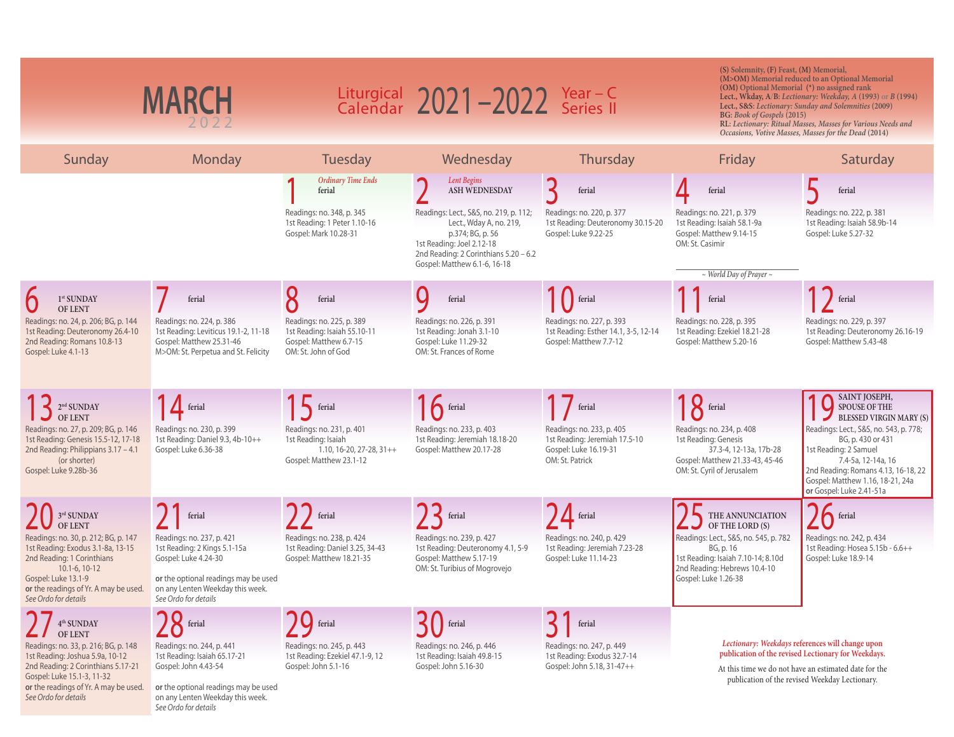| <b>MARCH</b>                                                                                                                                                |                                                                                                                                      | Liturgical 2021-2022 Year-C<br>Calendar 2021-2022 Series II                                                     |                                                                                                                                                                                             |                                                                                                        | (S) Solemnity, (F) Feast, (M) Memorial,<br>(M>OM) Memorial reduced to an Optional Memorial<br>(OM) Optional Memorial (*) no assigned rank<br>Lect., Wkday, A/B: Lectionary: Weekday, A (1993) or B (1994)<br>Lect., S&S: Lectionary: Sunday and Solemnities (2009)<br>BG: Book of Gospels (2015)<br>RL: Lectionary: Ritual Masses, Masses for Various Needs and<br>Occasions, Votive Masses, Masses for the Dead (2014) |                                                                                                                                                                                                                   |  |
|-------------------------------------------------------------------------------------------------------------------------------------------------------------|--------------------------------------------------------------------------------------------------------------------------------------|-----------------------------------------------------------------------------------------------------------------|---------------------------------------------------------------------------------------------------------------------------------------------------------------------------------------------|--------------------------------------------------------------------------------------------------------|-------------------------------------------------------------------------------------------------------------------------------------------------------------------------------------------------------------------------------------------------------------------------------------------------------------------------------------------------------------------------------------------------------------------------|-------------------------------------------------------------------------------------------------------------------------------------------------------------------------------------------------------------------|--|
| Sunday                                                                                                                                                      | Monday                                                                                                                               | Tuesday                                                                                                         | Wednesday                                                                                                                                                                                   | Thursday                                                                                               | Friday                                                                                                                                                                                                                                                                                                                                                                                                                  | Saturday                                                                                                                                                                                                          |  |
|                                                                                                                                                             |                                                                                                                                      | <b>Ordinary Time Ends</b><br>ferial                                                                             | Lent Begins<br>ASH WEDNESDAY                                                                                                                                                                | ferial                                                                                                 | ferial                                                                                                                                                                                                                                                                                                                                                                                                                  | ferial                                                                                                                                                                                                            |  |
|                                                                                                                                                             |                                                                                                                                      | Readings: no. 348, p. 345<br>1st Reading: 1 Peter 1.10-16<br>Gospel: Mark 10.28-31                              | Readings: Lect., S&S, no. 219, p. 112;<br>Lect., Wday A, no. 219,<br>p.374; BG, p. 56<br>1st Reading: Joel 2.12-18<br>2nd Reading: 2 Corinthians 5.20 - 6.2<br>Gospel: Matthew 6.1-6, 16-18 | Readings: no. 220, p. 377<br>1st Reading: Deuteronomy 30.15-20<br>Gospel: Luke 9.22-25                 | Readings: no. 221, p. 379<br>1st Reading: Isaiah 58.1-9a<br>Gospel: Matthew 9.14-15<br>OM: St. Casimir                                                                                                                                                                                                                                                                                                                  | Readings: no. 222, p. 381<br>1st Reading: Isaiah 58.9b-14<br>Gospel: Luke 5.27-32                                                                                                                                 |  |
|                                                                                                                                                             |                                                                                                                                      |                                                                                                                 |                                                                                                                                                                                             |                                                                                                        | $\sim$ World Day of Prayer $\sim$                                                                                                                                                                                                                                                                                                                                                                                       |                                                                                                                                                                                                                   |  |
| $1^{st}$ SUNDAY                                                                                                                                             | ferial                                                                                                                               | O<br>ferial                                                                                                     | ferial                                                                                                                                                                                      |                                                                                                        | ferial                                                                                                                                                                                                                                                                                                                                                                                                                  | ferial                                                                                                                                                                                                            |  |
| <b>OF LENT</b><br>Readings: no. 24, p. 206; BG, p. 144<br>1st Reading: Deuteronomy 26.4-10<br>2nd Reading: Romans 10.8-13<br>Gospel: Luke 4.1-13            | Readings: no. 224, p. 386<br>1st Reading: Leviticus 19.1-2, 11-18<br>Gospel: Matthew 25.31-46<br>M>OM: St. Perpetua and St. Felicity | Readings: no. 225, p. 389<br>1st Reading: Isaiah 55.10-11<br>Gospel: Matthew 6.7-15<br>OM: St. John of God      | Readings: no. 226, p. 391<br>1st Reading: Jonah 3.1-10<br>Gospel: Luke 11.29-32<br>OM: St. Frances of Rome                                                                                  | Readings: no. 227, p. 393<br>1st Reading: Esther 14.1, 3-5, 12-14<br>Gospel: Matthew 7.7-12            | Readings: no. 228, p. 395<br>1st Reading: Ezekiel 18.21-28<br>Gospel: Matthew 5.20-16                                                                                                                                                                                                                                                                                                                                   | Readings: no. 229, p. 397<br>1st Reading: Deuteronomy 26.16-19<br>Gospel: Matthew 5.43-48                                                                                                                         |  |
| $13$ $\frac{2^{nd}$ SUNDAY                                                                                                                                  | $1$ $\Delta$ ferial                                                                                                                  | $15$ ferial                                                                                                     | $16$ ferial                                                                                                                                                                                 | $\overline{\phantom{a}}$ ferial                                                                        | $18$ ferial                                                                                                                                                                                                                                                                                                                                                                                                             | SAINT JOSEPH,<br>SPOUSE OF THE<br><b>BLESSED VIRGIN MARY (S)</b>                                                                                                                                                  |  |
| Readings: no. 27, p. 209; BG, p. 146<br>1st Reading: Genesis 15.5-12, 17-18<br>2nd Reading: Philippians 3.17 - 4.1<br>(or shorter)<br>Gospel: Luke 9.28b-36 | Readings: no. 230, p. 399<br>1st Reading: Daniel 9.3, 4b-10++<br>Gospel: Luke 6.36-38                                                | Readings: no. 231, p. 401<br>1st Reading: Isaiah<br>$1.10, 16 - 20, 27 - 28, 31 + +$<br>Gospel: Matthew 23.1-12 | Readings: no. 233, p. 403<br>1st Reading: Jeremiah 18.18-20<br>Gospel: Matthew 20.17-28                                                                                                     | Readings: no. 233, p. 405<br>1st Reading: Jeremiah 17.5-10<br>Gospel: Luke 16.19-31<br>OM: St. Patrick | Readings: no. 234, p. 408<br>1st Reading: Genesis<br>37.3-4, 12-13a, 17b-28<br>Gospel: Matthew 21.33-43, 45-46<br>OM: St. Cyril of Jerusalem                                                                                                                                                                                                                                                                            | Readings: Lect., S&S, no. 543, p. 778;<br>BG, p. 430 or 431<br>1st Reading: 2 Samuel<br>7.4-5a, 12-14a, 16<br>2nd Reading: Romans 4.13, 16-18, 22<br>Gospel: Matthew 1.16, 18-21, 24a<br>or Gospel: Luke 2.41-51a |  |
| $3^{\rm rd}$ SUNDAY<br><b>OF LENT</b>                                                                                                                       | ferial                                                                                                                               | ferial                                                                                                          | ferial                                                                                                                                                                                      | $\mathbf{\Lambda}$ ferial                                                                              | THE ANNUNCIATION<br>OF THE LORD (S)                                                                                                                                                                                                                                                                                                                                                                                     | $\int$ ferial                                                                                                                                                                                                     |  |
| Readings: no. 30, p. 212; BG, p. 147<br>1st Reading: Exodus 3.1-8a, 13-15<br>2nd Reading: 1 Corinthians                                                     | Readings: no. 237, p. 421<br>1st Reading: 2 Kings 5.1-15a<br>Gospel: Luke 4.24-30                                                    | Readings: no. 238, p. 424<br>1st Reading: Daniel 3.25, 34-43<br>Gospel: Matthew 18.21-35                        | Readings: no. 239, p. 427<br>1st Reading: Deuteronomy 4.1, 5-9<br>Gospel: Matthew 5.17-19                                                                                                   | Readings: no. 240, p. 429<br>1st Reading: Jeremiah 7.23-28<br>Gospel: Luke 11.14-23                    | Readings: Lect., S&S, no. 545, p. 782<br>BG, p. 16<br>1st Reading: Isaiah 7.10-14; 8.10d                                                                                                                                                                                                                                                                                                                                | Readings: no. 242, p. 434<br>1st Reading: Hosea 5.15b - 6.6++<br>Gospel: Luke 18.9-14                                                                                                                             |  |
| $10.1 - 6, 10 - 12$<br>Gospel: Luke 13.1-9<br>or the readings of Yr. A may be used.<br>See Ordo for details                                                 | or the optional readings may be used<br>on any Lenten Weekday this week.<br>See Ordo for details                                     |                                                                                                                 | OM: St. Turibius of Mogrovejo                                                                                                                                                               |                                                                                                        | 2nd Reading: Hebrews 10.4-10<br>Gospel: Luke 1.26-38                                                                                                                                                                                                                                                                                                                                                                    |                                                                                                                                                                                                                   |  |
| $4^{\rm th}$ SUNDAY                                                                                                                                         | $28$ ferial                                                                                                                          | $\bigcup$ ferial                                                                                                | ferial                                                                                                                                                                                      | ferial                                                                                                 |                                                                                                                                                                                                                                                                                                                                                                                                                         |                                                                                                                                                                                                                   |  |
| <b>OF LENT</b><br>Readings: no. 33, p. 216; BG, p. 148<br>1st Reading: Joshua 5.9a, 10-12<br>2nd Reading: 2 Corinthians 5.17-21                             | Readings: no. 244, p. 441<br>1st Reading: Isaiah 65.17-21<br>Gospel: John 4.43-54                                                    | Readings: no. 245, p. 443<br>1st Reading: Ezekiel 47.1-9, 12<br>Gospel: John 5.1-16                             | Readings: no. 246, p. 446<br>1st Reading: Isaiah 49.8-15<br>Gospel: John 5.16-30                                                                                                            | Readings: no. 247, p. 449<br>1st Reading: Exodus 32.7-14<br>Gospel: John 5.18, 31-47++                 |                                                                                                                                                                                                                                                                                                                                                                                                                         | Lectionary: Weekdays references will change upon<br>publication of the revised Lectionary for Weekdays.<br>At this time we do not have an estimated date for the                                                  |  |
| Gospel: Luke 15.1-3, 11-32<br>or the readings of Yr. A may be used.<br>See Ordo for details                                                                 | or the optional readings may be used<br>on any Lenten Weekday this week.                                                             |                                                                                                                 |                                                                                                                                                                                             |                                                                                                        |                                                                                                                                                                                                                                                                                                                                                                                                                         | publication of the revised Weekday Lectionary.                                                                                                                                                                    |  |

on any Lenten Weekday this week.

*See Ordo for details*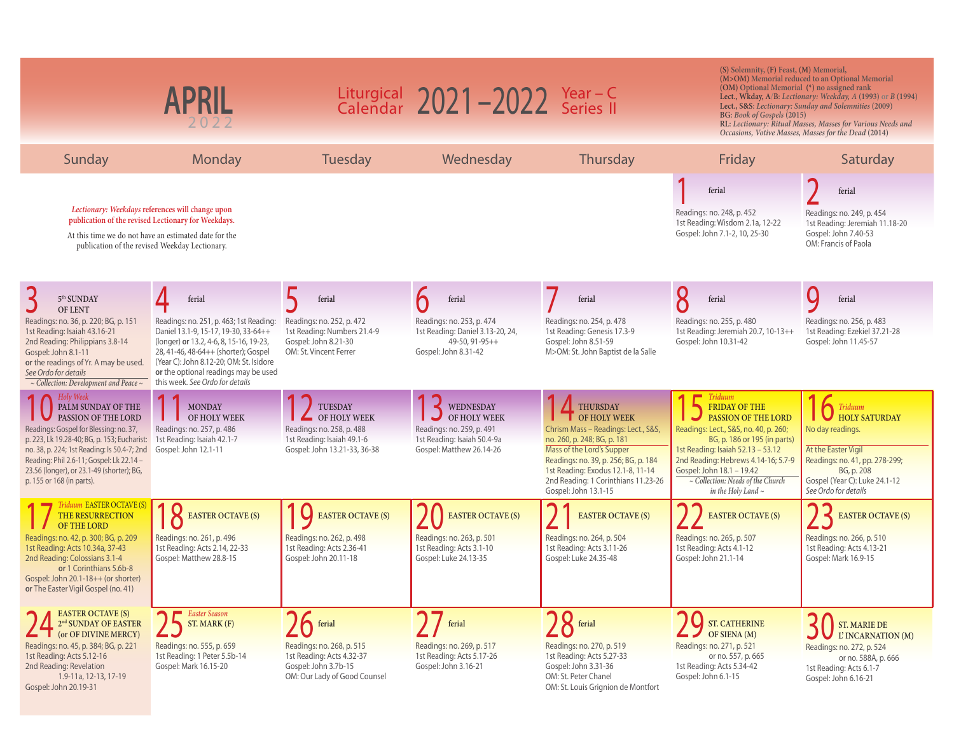|                                                                                                                                                                                                                                                                                                                                    | <b>APRIL</b>                                                                                                                                                                                                       |                                                                                                                                   | Liturgical $2021 - 2022$ Year - C<br>Calendar $2021 - 2022$ Series II                                             |                                                                                                                                                                                                                                                                                         | (S) Solemnity, (F) Feast, (M) Memorial,<br>(OM) Optional Memorial (*) no assigned rank<br>BG: Book of Gospels (2015)                                                                                                                                                                                                 | (M>OM) Memorial reduced to an Optional Memorial<br>Lect., Wkday, A/B: Lectionary: Weekday, A (1993) or B (1994)<br>Lect., S&S: Lectionary: Sunday and Solemnities (2009)<br>RL: Lectionary: Ritual Masses, Masses for Various Needs and<br>Occasions, Votive Masses, Masses for the Dead (2014) |
|------------------------------------------------------------------------------------------------------------------------------------------------------------------------------------------------------------------------------------------------------------------------------------------------------------------------------------|--------------------------------------------------------------------------------------------------------------------------------------------------------------------------------------------------------------------|-----------------------------------------------------------------------------------------------------------------------------------|-------------------------------------------------------------------------------------------------------------------|-----------------------------------------------------------------------------------------------------------------------------------------------------------------------------------------------------------------------------------------------------------------------------------------|----------------------------------------------------------------------------------------------------------------------------------------------------------------------------------------------------------------------------------------------------------------------------------------------------------------------|-------------------------------------------------------------------------------------------------------------------------------------------------------------------------------------------------------------------------------------------------------------------------------------------------|
| Sunday                                                                                                                                                                                                                                                                                                                             | Monday                                                                                                                                                                                                             | <b>Tuesday</b>                                                                                                                    | Wednesday                                                                                                         | Thursday                                                                                                                                                                                                                                                                                | Friday                                                                                                                                                                                                                                                                                                               | Saturday                                                                                                                                                                                                                                                                                        |
|                                                                                                                                                                                                                                                                                                                                    | Lectionary: Weekdays references will change upon<br>publication of the revised Lectionary for Weekdays.<br>At this time we do not have an estimated date for the<br>publication of the revised Weekday Lectionary. |                                                                                                                                   |                                                                                                                   |                                                                                                                                                                                                                                                                                         | ferial<br>Readings: no. 248, p. 452<br>1st Reading: Wisdom 2.1a, 12-22<br>Gospel: John 7.1-2, 10, 25-30                                                                                                                                                                                                              | ferial<br>Readings: no. 249, p. 454<br>1st Reading: Jeremiah 11.18-20<br>Gospel: John 7.40-53<br>OM: Francis of Paola                                                                                                                                                                           |
| 5 <sup>th</sup> SUNDAY                                                                                                                                                                                                                                                                                                             | ferial                                                                                                                                                                                                             | ferial                                                                                                                            | ferial                                                                                                            | ferial                                                                                                                                                                                                                                                                                  | O<br>ferial                                                                                                                                                                                                                                                                                                          | Q<br>ferial                                                                                                                                                                                                                                                                                     |
| <b>OF LENT</b><br>Readings: no. 36, p. 220; BG, p. 151<br>1st Reading: Isaiah 43.16-21<br>2nd Reading: Philippians 3.8-14<br>Gospel: John 8.1-11<br>or the readings of Yr. A may be used. (Year C): John 8.12-20; OM: St. Isidore<br>See Ordo for details<br>~ Collection: Development and Peace ~ this week. See Ordo for details | Readings: no. 251, p. 463; 1st Reading:<br>Daniel 13.1-9, 15-17, 19-30, 33-64++<br>(longer) or 13.2, 4-6, 8, 15-16, 19-23,<br>28, 41-46, 48-64++ (shorter); Gospel<br>or the optional readings may be used         | Readings: no. 252, p. 472<br>1st Reading: Numbers 21.4-9<br>Gospel: John 8.21-30<br>OM: St. Vincent Ferrer                        | Readings: no. 253, p. 474<br>1st Reading: Daniel 3.13-20, 24,<br>49-50, 91-95++<br>Gospel: John 8.31-42           | Readings: no. 254, p. 478<br>1st Reading: Genesis 17.3-9<br>Gospel: John 8.51-59<br>M>OM: St. John Baptist de la Salle                                                                                                                                                                  | Readings: no. 255, p. 480<br>1st Reading: Jeremiah 20.7, 10-13++<br>Gospel: John 10.31-42                                                                                                                                                                                                                            | Readings: no. 256, p. 483<br>1st Reading: Ezekiel 37.21-28<br>Gospel: John 11.45-57                                                                                                                                                                                                             |
| Holy Week<br>PALM SUNDAY OF THE<br>PASSION OF THE LORD<br>Readings: Gospel for Blessing: no. 37,<br>p. 223, Lk 19.28-40; BG, p. 153; Eucharist:<br>no. 38, p. 224; 1st Reading: Is 50.4-7; 2nd<br>Reading: Phil 2.6-11; Gospel: Lk 22.14 -<br>23.56 (longer), or 23.1-49 (shorter); BG,<br>p. 155 or 168 (in parts).               | <b>MONDAY</b><br>OF HOLY WEEK<br>Readings: no. 257, p. 486<br>1st Reading: Isaiah 42.1-7<br>Gospel: John 12.1-11                                                                                                   | <b>TUESDAY</b><br>OF HOLY WEEK<br>Readings: no. 258, p. 488<br>1st Reading: Isaiah 49.1-6<br>Gospel: John 13.21-33, 36-38         | WEDNESDAY<br>OF HOLY WEEK<br>Readings: no. 259, p. 491<br>1st Reading: Isaiah 50.4-9a<br>Gospel: Matthew 26.14-26 | <b>THURSDAY</b><br><b>T</b> OF HOLY WEEK<br>Chrism Mass - Readings: Lect., S&S,<br>no. 260, p. 248; BG, p. 181<br>Mass of the Lord's Supper<br>Readings: no. 39, p. 256; BG, p. 184<br>1st Reading: Exodus 12.1-8, 11-14<br>2nd Reading: 1 Corinthians 11.23-26<br>Gospel: John 13.1-15 | <b>Triduum</b><br><b>FRIDAY OF THE</b><br>PASSION OF THE LORD<br>Readings: Lect., S&S, no. 40, p. 260;<br>BG, p. 186 or 195 (in parts)<br>1st Reading: Isaiah 52.13 - 53.12<br>2nd Reading: Hebrews 4.14-16; 5.7-9<br>Gospel: John 18.1 - 19.42<br>$\sim$ Collection: Needs of the Church<br>in the Holy Land $\sim$ | $\int$ Triduum<br><b>HOLY SATURDAY</b><br>No day readings.<br>At the Easter Vigil<br>Readings: no. 41, pp. 278-299;<br>BG, p. 208<br>Gospel (Year C): Luke 24.1-12<br>See Ordo for details                                                                                                      |
| <i>Triduum EASTER OCTAVE (S)</i><br>THE RESURRECTION<br><b>OF THE LORD</b><br>Readings: no. 42, p. 300; BG, p. 209<br>1st Reading: Acts 10.34a, 37-43<br>2nd Reading: Colossians 3.1-4<br>or 1 Corinthians 5.6b-8<br>Gospel: John 20.1-18++ (or shorter)<br>or The Easter Vigil Gospel (no. 41)                                    | EASTER OCTAVE (S)<br>Readings: no. 261, p. 496<br>1st Reading: Acts 2.14, 22-33<br>Gospel: Matthew 28.8-15                                                                                                         | $\overline{O}$<br><b>EASTER OCTAVE (S)</b><br>Readings: no. 262, p. 498<br>1st Reading: Acts 2.36-41<br>Gospel: John 20.11-18     | <b>EASTER OCTAVE (S)</b><br>Readings: no. 263, p. 501<br>1st Reading: Acts 3.1-10<br>Gospel: Luke 24.13-35        | <b>EASTER OCTAVE (S)</b><br>Readings: no. 264, p. 504<br>1st Reading: Acts 3.11-26<br>Gospel: Luke 24.35-48                                                                                                                                                                             | <b>EASTER OCTAVE (S)</b><br>Readings: no. 265, p. 507<br>1st Reading: Acts 4.1-12<br>Gospel: John 21.1-14                                                                                                                                                                                                            | <b>EASTER OCTAVE (S)</b><br>Readings: no. 266, p. 510<br>1st Reading: Acts 4.13-21<br>Gospel: Mark 16.9-15                                                                                                                                                                                      |
| <b>EASTER OCTAVE (S)</b><br>$2^{\rm nd}$ SUNDAY OF EASTER<br>(or OF DIVINE MERCY)<br>Readings: no. 45, p. 384; BG, p. 221<br>1st Reading: Acts 5.12-16<br>2nd Reading: Revelation<br>1.9-11a, 12-13, 17-19<br>Gospel: John 20.19-31                                                                                                | Easter Season<br>ST. MARK (F)<br>Readings: no. 555, p. 659<br>1st Reading: 1 Peter 5.5b-14<br>Gospel: Mark 16.15-20                                                                                                | <b>A</b> ferial<br>Readings: no. 268, p. 515<br>1st Reading: Acts 4.32-37<br>Gospel: John 3.7b-15<br>OM: Our Lady of Good Counsel | ferial<br>Readings: no. 269, p. 517<br>1st Reading: Acts 5.17-26<br>Gospel: John 3.16-21                          | $98$ ferial<br>Readings: no. 270, p. 519<br>1st Reading: Acts 5.27-33<br>Gospel: John 3.31-36<br>OM: St. Peter Chanel<br>OM: St. Louis Grignion de Montfort                                                                                                                             | Q<br><b>ST. CATHERINE</b><br>OF SIENA $(M)$<br>Readings: no. 271, p. 521<br>or no. 557, p. 665<br>1st Reading: Acts 5.34-42<br>Gospel: John 6.1-15                                                                                                                                                                   | <b>ST. MARIE DE</b><br>L' INCARNATION (M)<br>Readings: no. 272, p. 524<br>or no. 588A, p. 666<br>1st Reading: Acts 6.1-7<br>Gospel: John 6.16-21                                                                                                                                                |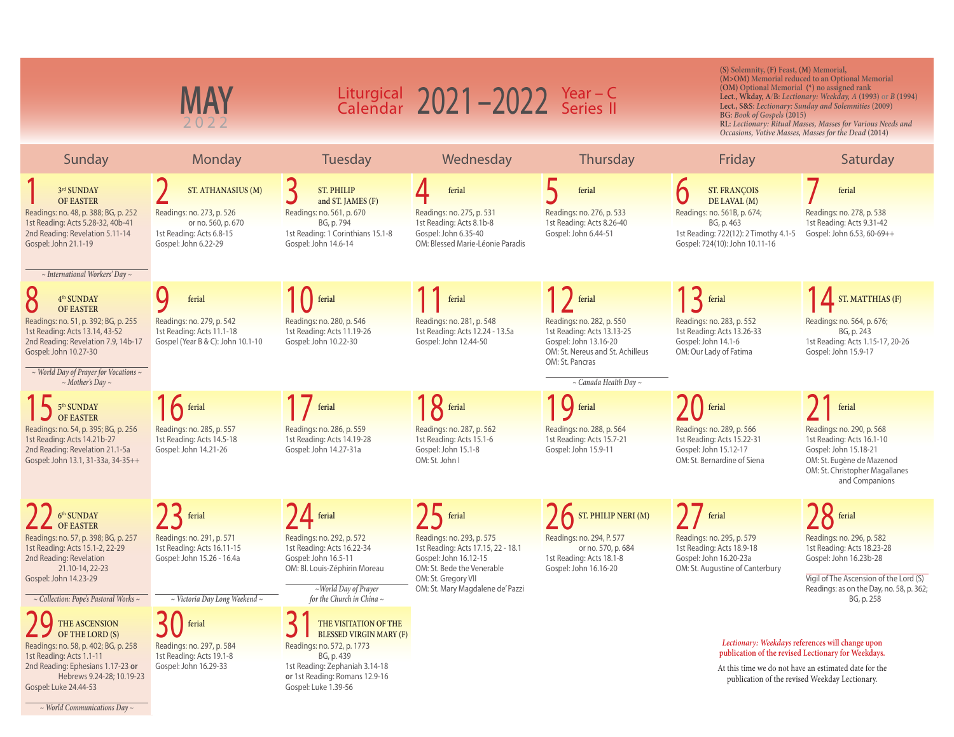| MAY<br>2022                                                                                                                                                                                                                                                           |                                                                                                                                                                            | Liturgical $2021 - 2022$ Year - C<br>Calendar $2021 - 2022$ Series II                                                                                                                                                          |                                                                                                                                                                                                  |                                                                                                                                                                                      | (S) Solemnity, (F) Feast, (M) Memorial,<br>(M>OM) Memorial reduced to an Optional Memorial<br>(OM) Optional Memorial (*) no assigned rank<br>Lect., Wkday, A/B: Lectionary: Weekday, A (1993) or B (1994)<br>Lect., S&S: Lectionary: Sunday and Solemnities (2009)<br>BG: Book of Gospels (2015)<br>RL: Lectionary: Ritual Masses, Masses for Various Needs and<br>Occasions, Votive Masses, Masses for the Dead (2014) |                                                                                                                                                                                                                    |
|-----------------------------------------------------------------------------------------------------------------------------------------------------------------------------------------------------------------------------------------------------------------------|----------------------------------------------------------------------------------------------------------------------------------------------------------------------------|--------------------------------------------------------------------------------------------------------------------------------------------------------------------------------------------------------------------------------|--------------------------------------------------------------------------------------------------------------------------------------------------------------------------------------------------|--------------------------------------------------------------------------------------------------------------------------------------------------------------------------------------|-------------------------------------------------------------------------------------------------------------------------------------------------------------------------------------------------------------------------------------------------------------------------------------------------------------------------------------------------------------------------------------------------------------------------|--------------------------------------------------------------------------------------------------------------------------------------------------------------------------------------------------------------------|
| Sunday                                                                                                                                                                                                                                                                | Monday                                                                                                                                                                     | Tuesday                                                                                                                                                                                                                        | Wednesday                                                                                                                                                                                        | Thursday                                                                                                                                                                             | Friday                                                                                                                                                                                                                                                                                                                                                                                                                  | Saturday                                                                                                                                                                                                           |
| 3rd SUNDAY<br><b>OF EASTER</b><br>Readings: no. 48, p. 388; BG, p. 252<br>1st Reading: Acts 5.28-32, 40b-41<br>2nd Reading: Revelation 5.11-14<br>Gospel: John 21.1-19<br>$\sim$ International Workers' Day $\sim$                                                    | ST. ATHANASIUS (M)<br>Readings: no. 273, p. 526<br>or no. 560, p. 670<br>1st Reading: Acts 6.8-15<br>Gospel: John 6.22-29                                                  | 3<br><b>ST. PHILIP</b><br>and ST. JAMES (F)<br>Readings: no. 561, p. 670<br>BG, p. 794<br>1st Reading: 1 Corinthians 15.1-8<br>Gospel: John 14.6-14                                                                            | ferial<br>Readings: no. 275, p. 531<br>1st Reading: Acts 8.1b-8<br>Gospel: John 6.35-40<br>OM: Blessed Marie-Léonie Paradis                                                                      | ferial<br>Readings: no. 276, p. 533<br>1st Reading: Acts 8.26-40<br>Gospel: John 6.44-51                                                                                             | <b>ST. FRANÇOIS</b><br>DE LAVAL (M)<br>Readings: no. 561B, p. 674;<br>BG, p. 463<br>1st Reading: 722(12): 2 Timothy 4.1-5<br>Gospel: 724(10): John 10.11-16                                                                                                                                                                                                                                                             | ferial<br>Readings: no. 278, p. 538<br>1st Reading: Acts 9.31-42<br>Gospel: John 6.53, 60-69++                                                                                                                     |
| 4 <sup>th</sup> SUNDAY<br><b>OF EASTER</b><br>Readings: no. 51, p. 392; BG, p. 255<br>1st Reading: Acts 13.14, 43-52<br>2nd Reading: Revelation 7.9, 14b-17<br>Gospel: John 10.27-30<br>$\sim$ World Day of Prayer for Vocations $\sim$<br>$\sim$ Mother's Day $\sim$ | ferial<br>Readings: no. 279, p. 542<br>1st Reading: Acts 11.1-18<br>Gospel (Year B & C): John 10.1-10                                                                      | ferial<br>Readings: no. 280, p. 546<br>1st Reading: Acts 11.19-26<br>Gospel: John 10.22-30                                                                                                                                     | ferial<br>Readings: no. 281, p. 548<br>1st Reading: Acts 12.24 - 13.5a<br>Gospel: John 12.44-50                                                                                                  | ferial<br>Readings: no. 282, p. 550<br>1st Reading: Acts 13.13-25<br>Gospel: John 13.16-20<br>OM: St. Nereus and St. Achilleus<br>OM: St. Pancras<br>$\sim$ Canada Health Day $\sim$ | $\mathsf{R}$ ferial<br>Readings: no. 283, p. 552<br>1st Reading: Acts 13.26-33<br>Gospel: John 14.1-6<br>OM: Our Lady of Fatima                                                                                                                                                                                                                                                                                         | $\sqrt{\phantom{a}}$ ST. MATTHIAS (F)<br>Readings: no. 564, p. 676;<br>BG, p. 243<br>1st Reading: Acts 1.15-17, 20-26<br>Gospel: John 15.9-17                                                                      |
| $\frac{1}{2}$ 5 <sup>th</sup> SUNDAY<br><b>OF EASTER</b><br>Readings: no. 54, p. 395; BG, p. 256<br>1st Reading: Acts 14.21b-27<br>2nd Reading: Revelation 21.1-5a<br>Gospel: John 13.1, 31-33a, 34-35++                                                              | $16$ ferial<br>Readings: no. 285, p. 557<br>1st Reading: Acts 14.5-18<br>Gospel: John 14.21-26                                                                             | Ferial<br>Readings: no. 286, p. 559<br>1st Reading: Acts 14.19-28<br>Gospel: John 14.27-31a                                                                                                                                    | $18$ ferial<br>Readings: no. 287, p. 562<br>1st Reading: Acts 15.1-6<br>Gospel: John 15.1-8<br>OM: St. John I                                                                                    | <b>Q</b> ferial<br>Readings: no. 288, p. 564<br>1st Reading: Acts 15.7-21<br>Gospel: John 15.9-11                                                                                    | $\int$ ferial<br>Readings: no. 289, p. 566<br>1st Reading: Acts 15.22-31<br>Gospel: John 15.12-17<br>OM: St. Bernardine of Siena                                                                                                                                                                                                                                                                                        | ferial<br>Readings: no. 290, p. 568<br>1st Reading: Acts 16.1-10<br>Gospel: John 15.18-21<br>OM: St. Eugène de Mazenod<br>OM: St. Christopher Magallanes<br>and Companions                                         |
| 6 <sup>th</sup> SUNDAY<br><b>OF EASTER</b><br>Readings: no. 57, p. 398; BG, p. 257<br>1st Reading: Acts 15.1-2, 22-29<br>2nd Reading: Revelation<br>21.10-14, 22-23<br>Gospel: John 14.23-29<br>$\sim$ Collection: Pope's Pastoral Works $\sim$<br>THE ASCENSION      | $23$ ferial<br>Readings: no. 291, p. 571<br>1st Reading: Acts 16.11-15<br>Gospel: John 15.26 - 16.4a<br>$\sim$ Victoria Day Long Weekend $\sim$<br>$\prec$   $\mid$ ferial | $\sqrt{4}$ ferial<br>Readings: no. 292, p. 572<br>1st Reading: Acts 16.22-34<br>Gospel: John 16.5-11<br>OM: Bl. Louis-Zéphirin Moreau<br>$\sim$ World Day of Prayer<br>for the Church in China $\sim$<br>THE VISITATION OF THE | $75$ ferial<br>Readings: no. 293, p. 575<br>1st Reading: Acts 17.15, 22 - 18.1<br>Gospel: John 16.12-15<br>OM: St. Bede the Venerable<br>OM: St. Gregory VII<br>OM: St. Mary Magdalene de' Pazzi | $\sum$ ST. PHILIP NERI (M)<br>Readings: no. 294, P. 577<br>or no. 570, p. 684<br>1st Reading: Acts 18.1-8<br>Gospel: John 16.16-20                                                   | $\int$ ferial<br>Readings: no. 295, p. 579<br>1st Reading: Acts 18.9-18<br>Gospel: John 16.20-23a<br>OM: St. Augustine of Canterbury                                                                                                                                                                                                                                                                                    | $\mathcal{Y}$ ferial<br>Readings: no. 296, p. 582<br>1st Reading: Acts 18.23-28<br>Gospel: John 16.23b-28<br>Vigil of The Ascension of the Lord (S)<br>Readings: as on the Day, no. 58, p. 362;<br>BG, p. 258      |
| OF THE LORD (S)<br>Readings: no. 58, p. 402; BG, p. 258<br>1st Reading: Acts 1.1-11<br>2nd Reading: Ephesians 1.17-23 or<br>Hebrews 9.24-28; 10.19-23<br>Gospel: Luke 24.44-53                                                                                        | Readings: no. 297, p. 584<br>1st Reading: Acts 19.1-8<br>Gospel: John 16.29-33                                                                                             | <b>BLESSED VIRGIN MARY (F)</b><br>Readings: no. 572, p. 1773<br>BG, p. 439<br>1st Reading: Zephaniah 3.14-18<br>or 1st Reading: Romans 12.9-16<br>Gospel: Luke 1.39-56                                                         |                                                                                                                                                                                                  |                                                                                                                                                                                      |                                                                                                                                                                                                                                                                                                                                                                                                                         | Lectionary: Weekdays references will change upon<br>publication of the revised Lectionary for Weekdays.<br>At this time we do not have an estimated date for the<br>publication of the revised Weekday Lectionary. |

*~ World Communications Day ~*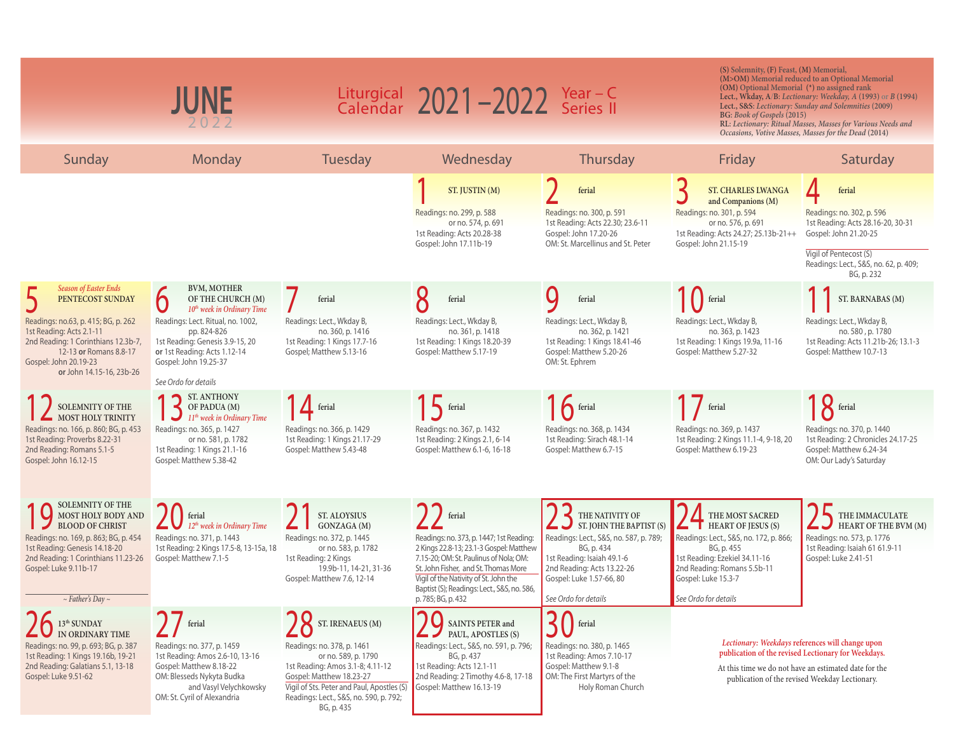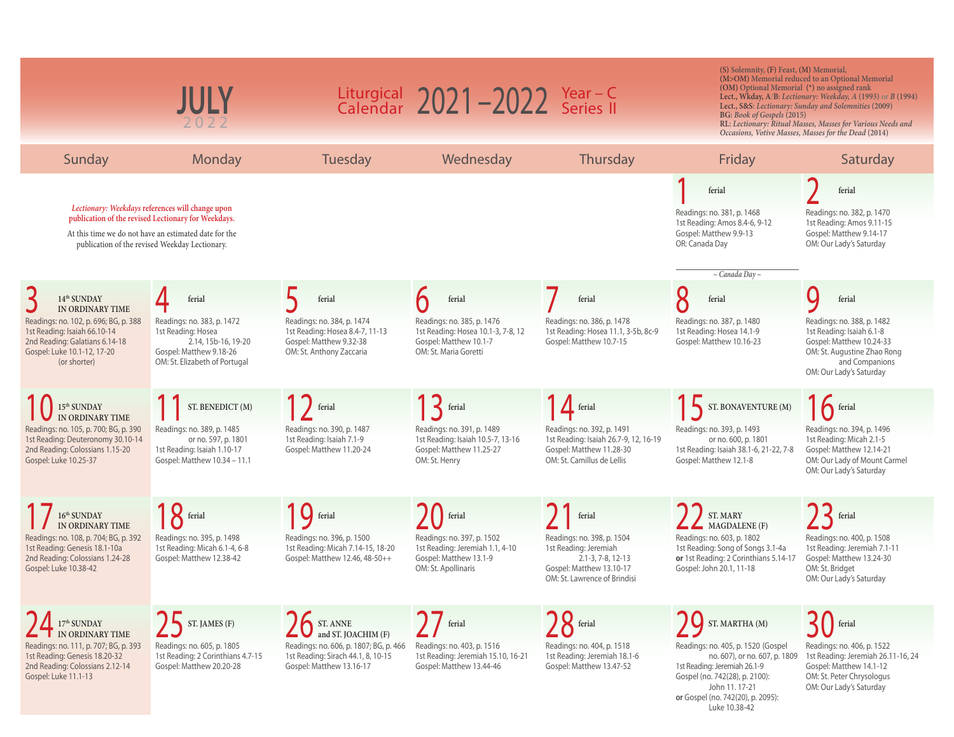|                                                                                                                                                                                                       | 2022                                                                                                                                                                                                               |                                                                                                                                                       | Liturgical $2021 - 2022$ Year - C<br>Calendar $2021 - 2022$ Series II                                                         |                                                                                                                                                                 | (S) Solemnity, (F) Feast, (M) Memorial,<br>(OM) Optional Memorial (*) no assigned rank<br><b>BG:</b> Book of Gospels (2015)                                                                                     | (M>OM) Memorial reduced to an Optional Memorial<br>Lect., Wkday, $A/B$ : Lectionary: Weekday, A (1993) or B (1994)<br>Lect., S&S: Lectionary: Sunday and Solemnities (2009)<br>RL: Lectionary: Ritual Masses, Masses for Various Needs and<br>Occasions, Votive Masses, Masses for the Dead (2014) |
|-------------------------------------------------------------------------------------------------------------------------------------------------------------------------------------------------------|--------------------------------------------------------------------------------------------------------------------------------------------------------------------------------------------------------------------|-------------------------------------------------------------------------------------------------------------------------------------------------------|-------------------------------------------------------------------------------------------------------------------------------|-----------------------------------------------------------------------------------------------------------------------------------------------------------------|-----------------------------------------------------------------------------------------------------------------------------------------------------------------------------------------------------------------|----------------------------------------------------------------------------------------------------------------------------------------------------------------------------------------------------------------------------------------------------------------------------------------------------|
| Sunday                                                                                                                                                                                                | Monday                                                                                                                                                                                                             | Tuesday                                                                                                                                               | Wednesday                                                                                                                     | Thursday                                                                                                                                                        | Friday                                                                                                                                                                                                          | Saturday                                                                                                                                                                                                                                                                                           |
|                                                                                                                                                                                                       | Lectionary: Weekdays references will change upon<br>publication of the revised Lectionary for Weekdays.<br>At this time we do not have an estimated date for the<br>publication of the revised Weekday Lectionary. |                                                                                                                                                       |                                                                                                                               |                                                                                                                                                                 | ferial<br>Readings: no. 381, p. 1468<br>1st Reading: Amos 8.4-6, 9-12<br>Gospel: Matthew 9.9-13<br>OR: Canada Day<br>$\sim$ Canada Day $\sim$                                                                   | ferial<br>Readings: no. 382, p. 1470<br>1st Reading: Amos 9.11-15<br>Gospel: Matthew 9.14-17<br>OM: Our Lady's Saturday                                                                                                                                                                            |
| 14 <sup>th</sup> SUNDAY<br>IN ORDINARY TIME<br>Readings: no. 102, p. 696; BG, p. 388<br>1st Reading: Isaiah 66.10-14<br>2nd Reading: Galatians 6.14-18<br>Gospel: Luke 10.1-12, 17-20<br>(or shorter) | ferial<br>Readings: no. 383, p. 1472<br>1st Reading: Hosea<br>2.14, 15b-16, 19-20<br>Gospel: Matthew 9.18-26<br>OM: St. Elizabeth of Portugal                                                                      | ferial<br>Readings: no. 384, p. 1474<br>1st Reading: Hosea 8.4-7, 11-13<br>Gospel: Matthew 9.32-38<br>OM: St. Anthony Zaccaria                        | ferial<br>Readings: no. 385, p. 1476<br>1st Reading: Hosea 10.1-3, 7-8, 12<br>Gospel: Matthew 10.1-7<br>OM: St. Maria Goretti | ferial<br>Readings: no. 386, p. 1478<br>1st Reading: Hosea 11.1, 3-5b, 8c-9<br>Gospel: Matthew 10.7-15                                                          | ferial<br>Readings: no. 387, p. 1480<br>1st Reading: Hosea 14.1-9<br>Gospel: Matthew 10.16-23                                                                                                                   | ferial<br>Readings: no. 388, p. 1482<br>1st Reading: Isaiah 6.1-8<br>Gospel: Matthew 10.24-33<br>OM: St. Augustine Zhao Rong<br>and Companions<br>OM: Our Lady's Saturday                                                                                                                          |
| $15^{\rm th}$ SUNDAY<br>IN ORDINARY TIME<br>Readings: no. 105, p. 700; BG, p. 390<br>1st Reading: Deuteronomy 30.10-14<br>2nd Reading: Colossians 1.15-20<br>Gospel: Luke 10.25-37                    | ST. BENEDICT (M)<br>Readings: no. 389, p. 1485<br>or no. 597, p. 1801<br>1st Reading: Isaiah 1.10-17<br>Gospel: Matthew 10.34 - 11.1                                                                               | <sup>1</sup> ferial<br>Readings: no. 390, p. 1487<br>1st Reading: Isaiah 7.1-9<br>Gospel: Matthew 11.20-24                                            | $\sum$ ferial<br>Readings: no. 391, p. 1489<br>1st Reading: Isaiah 10.5-7, 13-16<br>Gospel: Matthew 11.25-27<br>OM: St. Henry | $\overline{\mathbf{1}}$ ferial<br>Readings: no. 392, p. 1491<br>1st Reading: Isaiah 26.7-9, 12, 16-19<br>Gospel: Matthew 11.28-30<br>OM: St. Camillus de Lellis | ST. BONAVENTURE (M)<br>Readings: no. 393, p. 1493<br>or no. 600, p. 1801<br>1st Reading: Isaiah 38.1-6, 21-22, 7-8<br>Gospel: Matthew 12.1-8                                                                    | $16$ ferial<br>Readings: no. 394, p. 1496<br>1st Reading: Micah 2.1-5<br>Gospel: Matthew 12.14-21<br>OM: Our Lady of Mount Carmel<br>OM: Our Lady's Saturday                                                                                                                                       |
| $16^{\rm th}\,\rm SUNDAY$<br>IN ORDINARY TIME<br>Readings: no. 108, p. 704; BG, p. 392<br>1st Reading: Genesis 18.1-10a<br>2nd Reading: Colossians 1.24-28<br>Gospel: Luke 10.38-42                   | $18$ ferial<br>Readings: no. 395, p. 1498<br>1st Reading: Micah 6.1-4, 6-8<br>Gospel: Matthew 12.38-42                                                                                                             | G ferial<br>Readings: no. 396, p. 1500<br>1st Reading: Micah 7.14-15, 18-20<br>Gospel: Matthew 12.46, 48-50++                                         | ferial<br>Readings: no. 397, p. 1502<br>1st Reading: Jeremiah 1.1, 4-10<br>Gospel: Matthew 13.1-9<br>OM: St. Apollinaris      | $\int$ ferial<br>Readings: no. 398, p. 1504<br>1st Reading: Jeremiah<br>$2.1 - 3.7 - 8.12 - 13$<br>Gospel: Matthew 13.10-17<br>OM: St. Lawrence of Brindisi     | ST. MARY<br>MAGDALENE (F)<br>Readings: no. 603, p. 1802<br>1st Reading: Song of Songs 3.1-4a<br>or 1st Reading: 2 Corinthians 5.14-17<br>Gospel: John 20.1, 11-18                                               | $\sum$ ferial<br>Readings: no. 400, p. 1508<br>1st Reading: Jeremiah 7.1-11<br>Gospel: Matthew 13.24-30<br>OM: St. Bridget<br>OM: Our Lady's Saturday                                                                                                                                              |
| 17 <sup>th</sup> SUNDAY<br>IN ORDINARY TIME<br>Readings: no. 111, p. 707; BG, p. 393<br>1st Reading: Genesis 18.20-32<br>2nd Reading: Colossians 2.12-14<br>Gospel: Luke 11.1-13                      | ST. JAMES (F)<br>Readings: no. 605, p. 1805<br>1st Reading: 2 Corinthians 4.7-15<br>Gospel: Matthew 20.20-28                                                                                                       | <b>IC</b> ST. ANNE<br>and ST. JOACHIM (F)<br>Readings: no. 606, p. 1807; BG, p. 466<br>1st Reading: Sirach 44.1, 8, 10-15<br>Gospel: Matthew 13.16-17 | $\int$ ferial<br>Readings: no. 403, p. 1516<br>1st Reading: Jeremiah 15.10, 16-21<br>Gospel: Matthew 13.44-46                 | $\sum$ ferial<br>Readings: no. 404, p. 1518<br>1st Reading: Jeremiah 18.1-6<br>Gospel: Matthew 13.47-52                                                         | ST. MARTHA (M)<br>Readings: no. 405, p. 1520 (Gospel)<br>no. 607), or no. 607, p. 1809<br>1st Reading: Jeremiah 26.1-9<br>Gospel (no. 742(28), p. 2100):<br>John 11. 17-21<br>or Gospel (no. 742(20), p. 2095): | ferial<br>Readings: no. 406, p. 1522<br>1st Reading: Jeremiah 26.11-16, 24<br>Gospel: Matthew 14.1-12<br>OM: St. Peter Chrysologus<br>OM: Our Lady's Saturday                                                                                                                                      |

Luke 10.38-42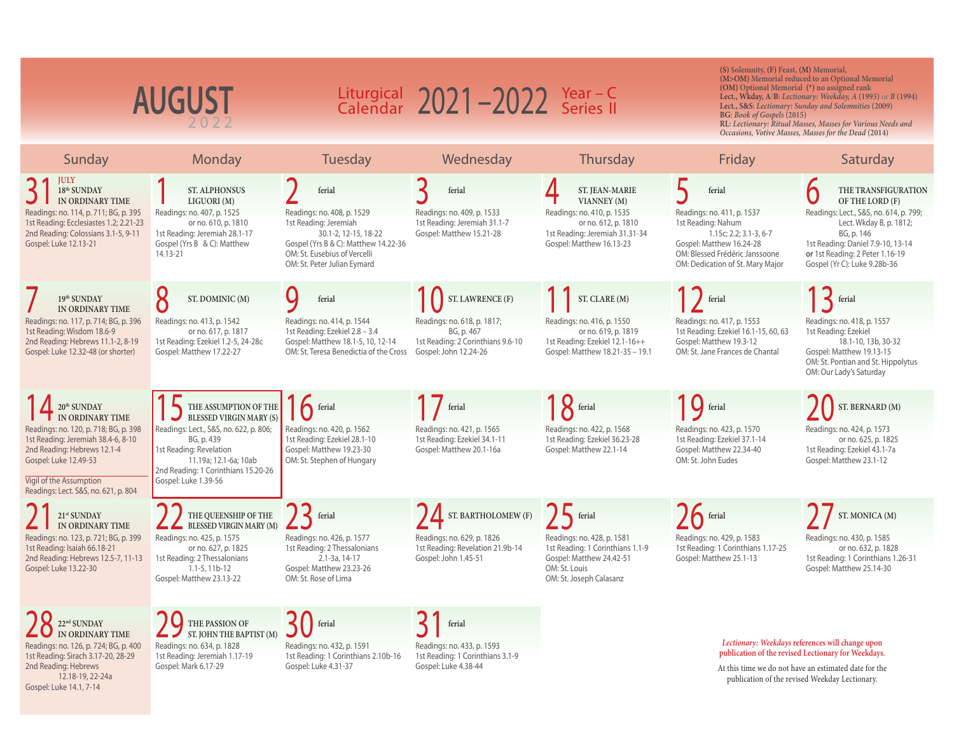| <b>AUGUST</b>                                                                                                                                                                                                                                                  |                                                                                                                                                                                                                                    | Liturgical 2021-2022 Year-C<br>Calendar 2021-2022 Series II                                                                                                                                  |                                                                                                                             |                                                                                                                                                           | (S) Solemnity, (F) Feast, (M) Memorial,<br>(M>OM) Memorial reduced to an Optional Memorial<br>(OM) Optional Memorial (*) no assigned rank<br>Lect., Wkday, A/B: Lectionary: Weekday, A (1993) or B (1994)<br>Lect., S&S: Lectionary: Sunday and Solemnities (2009)<br>BG: Book of Gospels (2015)<br>RL: Lectionary: Ritual Masses, Masses for Various Needs and<br>Occasions, Votive Masses, Masses for the Dead (2014) |                                                                                                                                                                                                                                   |  |
|----------------------------------------------------------------------------------------------------------------------------------------------------------------------------------------------------------------------------------------------------------------|------------------------------------------------------------------------------------------------------------------------------------------------------------------------------------------------------------------------------------|----------------------------------------------------------------------------------------------------------------------------------------------------------------------------------------------|-----------------------------------------------------------------------------------------------------------------------------|-----------------------------------------------------------------------------------------------------------------------------------------------------------|-------------------------------------------------------------------------------------------------------------------------------------------------------------------------------------------------------------------------------------------------------------------------------------------------------------------------------------------------------------------------------------------------------------------------|-----------------------------------------------------------------------------------------------------------------------------------------------------------------------------------------------------------------------------------|--|
| Sunday                                                                                                                                                                                                                                                         | Monday                                                                                                                                                                                                                             | Tuesday                                                                                                                                                                                      | Wednesday                                                                                                                   | Thursday                                                                                                                                                  | Friday                                                                                                                                                                                                                                                                                                                                                                                                                  | Saturday                                                                                                                                                                                                                          |  |
| <b>JULY</b><br>18 <sup>th</sup> SUNDAY<br>IN ORDINARY TIME<br>Readings: no. 114, p. 711; BG, p. 395<br>1st Reading: Ecclesiastes 1.2; 2.21-23<br>2nd Reading: Colossians 3.1-5, 9-11<br>Gospel: Luke 12.13-21                                                  | <b>ST. ALPHONSUS</b><br>LIGUORI (M)<br>Readings: no. 407, p. 1525<br>or no. 610, p. 1810<br>1st Reading: Jeremiah 28.1-17<br>Gospel (Yrs B & C): Matthew<br>14.13-21                                                               | ferial<br>Readings: no. 408, p. 1529<br>1st Reading: Jeremiah<br>30.1-2, 12-15, 18-22<br>Gospel (Yrs B & C): Matthew 14.22-36<br>OM: St. Eusebius of Vercelli<br>OM: St. Peter Julian Eymard | ferial<br>Readings: no. 409, p. 1533<br>1st Reading: Jeremiah 31.1-7<br>Gospel: Matthew 15.21-28                            | <b>ST. JEAN-MARIE</b><br>VIANNEY (M)<br>Readings: no. 410, p. 1535<br>or no. 612, p. 1810<br>1st Reading: Jeremiah 31.31-34<br>Gospel: Matthew 16.13-23   | ferial<br>Readings: no. 411, p. 1537<br>1st Reading: Nahum<br>1.15c; 2.2; 3.1-3, 6-7<br>Gospel: Matthew 16.24-28<br>OM: Blessed Frédéric Janssoone<br>OM: Dedication of St. Mary Major                                                                                                                                                                                                                                  | THE TRANSFIGURATION<br>OF THE LORD (F)<br>Readings: Lect., S&S, no. 614, p. 799;<br>Lect. Wkday B, p. 1812;<br>BG, p. 146<br>1st Reading: Daniel 7.9-10, 13-14<br>or 1st Reading: 2 Peter 1.16-19<br>Gospel (Yr C): Luke 9.28b-36 |  |
| 19th SUNDAY<br>IN ORDINARY TIME<br>Readings: no. 117, p. 714; BG, p. 396<br>1st Reading: Wisdom 18.6-9<br>2nd Reading: Hebrews 11.1-2, 8-19<br>Gospel: Luke 12.32-48 (or shorter)                                                                              | ST. DOMINIC (M)<br>Readings: no. 413, p. 1542<br>or no. 617, p. 1817<br>1st Reading: Ezekiel 1.2-5, 24-28c<br>Gospel: Matthew 17.22-27                                                                                             | ferial<br>Readings: no. 414, p. 1544<br>1st Reading: Ezekiel 2.8 - 3.4<br>Gospel: Matthew 18.1-5, 10, 12-14<br>OM: St. Teresa Benedictia of the Cross                                        | ST. LAWRENCE (F)<br>Readings: no. 618, p. 1817;<br>BG, p. 467<br>1st Reading: 2 Corinthians 9.6-10<br>Gospel: John 12.24-26 | ST. CLARE (M)<br>Readings: no. 416, p. 1550<br>or no. 619, p. 1819<br>1st Reading: Ezekiel 12.1-16++<br>Gospel: Matthew 18.21-35 - 19.1                   | ferial<br>Readings: no. 417, p. 1553<br>1st Reading: Ezekiel 16.1-15, 60, 63<br>Gospel: Matthew 19.3-12<br>OM: St. Jane Frances de Chantal                                                                                                                                                                                                                                                                              | ferial<br>Readings: no. 418, p. 1557<br>1st Reading: Ezekiel<br>18.1-10, 13b, 30-32<br>Gospel: Matthew 19.13-15<br>OM: St. Pontian and St. Hippolytus<br>OM: Our Lady's Saturday                                                  |  |
| 20 <sup>th</sup> SUNDAY<br><b>T</b> IN ORDINARY TIME<br>Readings: no. 120, p. 718; BG, p. 398<br>1st Reading: Jeremiah 38.4-6, 8-10<br>2nd Reading: Hebrews 12.1-4<br>Gospel: Luke 12.49-53<br>Vigil of the Assumption<br>Readings: Lect. S&S, no. 621, p. 804 | THE ASSUMPTION OF THE<br><b>BLESSED VIRGIN MARY (S)</b><br>Readings: Lect., S&S, no. 622, p. 806;<br>BG, p. 439<br>1st Reading: Revelation<br>11.19a; 12.1-6a; 10ab<br>2nd Reading: 1 Corinthians 15.20-26<br>Gospel: Luke 1.39-56 | <b>A</b> ferial<br>Readings: no. 420, p. 1562<br>1st Reading: Ezekiel 28.1-10<br>Gospel: Matthew 19.23-30<br>OM: St. Stephen of Hungary                                                      | ferial<br>Readings: no. 421, p. 1565<br>1st Reading: Ezekiel 34.1-11<br>Gospel: Matthew 20.1-16a                            | $18$ ferial<br>Readings: no. 422, p. 1568<br>1st Reading: Ezekiel 36.23-28<br>Gospel: Matthew 22.1-14                                                     | <b>Q</b> ferial<br>Readings: no. 423, p. 1570<br>1st Reading: Ezekiel 37.1-14<br>Gospel: Matthew 22.34-40<br>OM: St. John Eudes                                                                                                                                                                                                                                                                                         | ST. BERNARD (M)<br>Readings: no. 424, p. 1573<br>or no. 625, p. 1825<br>1st Reading: Ezekiel 43.1-7a<br>Gospel: Matthew 23.1-12                                                                                                   |  |
| 21st SUNDAY<br>IN ORDINARY TIME<br>Readings: no. 123, p. 721; BG, p. 399<br>1st Reading: Isaiah 66.18-21<br>2nd Reading: Hebrews 12.5-7, 11-13<br>Gospel: Luke 13.22-30                                                                                        | THE QUEENSHIP OF THE<br><b>BLESSED VIRGIN MARY (M)</b><br>Readings: no. 425, p. 1575<br>or no. 627, p. 1825<br>1st Reading: 2 Thessalonians<br>$1.1 - 5.11b - 12$<br>Gospel: Matthew 23.13-22                                      | $\sum$ ferial<br>Readings: no. 426, p. 1577<br>1st Reading: 2 Thessalonians<br>2.1-3a, 14-17<br>Gospel: Matthew 23.23-26<br>OM: St. Rose of Lima                                             | $\sum$ ST. BARTHOLOMEW (F)<br>Readings: no. 629, p. 1826<br>1st Reading: Revelation 21.9b-14<br>Gospel: John 1.45-51        | <b>b</b> ferial<br>Readings: no. 428, p. 1581<br>1st Reading: 1 Corinthians 1.1-9<br>Gospel: Matthew 24.42-51<br>OM: St. Louis<br>OM: St. Joseph Calasanz | $\sum$ ferial<br>Readings: no. 429, p. 1583<br>1st Reading: 1 Corinthians 1.17-25<br>Gospel: Matthew 25.1-13                                                                                                                                                                                                                                                                                                            | ST. MONICA (M)<br>Readings: no. 430, p. 1585<br>or no. 632, p. 1828<br>1st Reading: 1 Corinthians 1.26-31<br>Gospel: Matthew 25.14-30                                                                                             |  |
| $22^{\rm nd}$ SUNDAY<br>IN ORDINARY TIME<br>Readings: no. 126, p. 724; BG, p. 400<br>1st Reading: Sirach 3.17-20, 28-29<br>2nd Reading: Hebrews<br>12.18-19, 22-24a<br>Gospel: Luke 14.1, 7-14                                                                 | THE PASSION OF<br>ST. JOHN THE BAPTIST (M)<br>Readings: no. 634, p. 1828<br>1st Reading: Jeremiah 1.17-19<br>Gospel: Mark 6.17-29                                                                                                  | ferial<br>Readings: no. 432, p. 1591<br>1st Reading: 1 Corinthians 2.10b-16<br>Gospel: Luke 4.31-37                                                                                          | ferial<br>Readings: no. 433, p. 1593<br>1st Reading: 1 Corinthians 3.1-9<br>Gospel: Luke 4.38-44                            |                                                                                                                                                           |                                                                                                                                                                                                                                                                                                                                                                                                                         | Lectionary: Weekdays references will change upon<br>publication of the revised Lectionary for Weekdays.<br>At this time we do not have an estimated date for the<br>publication of the revised Weekday Lectionary.                |  |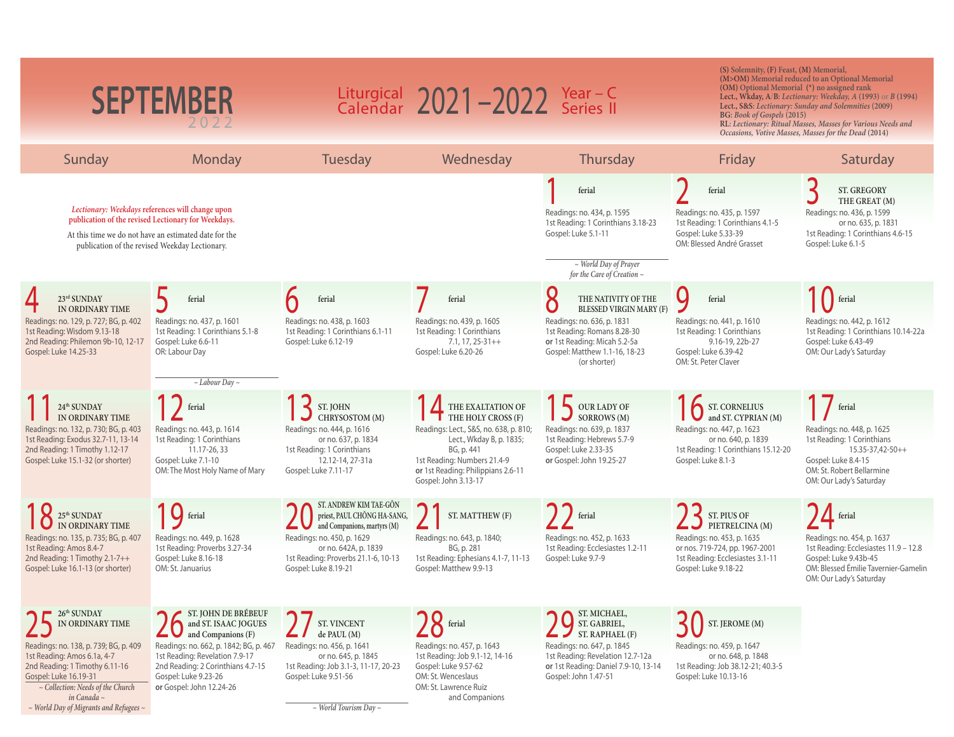| <b>SEPTEMBER</b><br>2022                                                                                                                                                                                                                                                        |                                                                                                                                                                                                                                        | Liturgical $2021 - 2022$ Year - C<br>Calendar $2021 - 2022$ Series II                                                                                                                                     |                                                                                                                                                                                                                   | (S) Solemnity, (F) Feast, (M) Memorial,<br>(M>OM) Memorial reduced to an Optional Memorial<br>(OM) Optional Memorial (*) no assigned rank<br>Lect., Wkday, A/B: Lectionary: Weekday, A (1993) or B (1994)<br>Lect., S&S: Lectionary: Sunday and Solemnities (2009)<br>BG: Book of Gospels (2015)<br>RL: Lectionary: Ritual Masses, Masses for Various Needs and<br>Occasions, Votive Masses, Masses for the Dead (2014) |                                                                                                                                                            |                                                                                                                                                                                                                 |
|---------------------------------------------------------------------------------------------------------------------------------------------------------------------------------------------------------------------------------------------------------------------------------|----------------------------------------------------------------------------------------------------------------------------------------------------------------------------------------------------------------------------------------|-----------------------------------------------------------------------------------------------------------------------------------------------------------------------------------------------------------|-------------------------------------------------------------------------------------------------------------------------------------------------------------------------------------------------------------------|-------------------------------------------------------------------------------------------------------------------------------------------------------------------------------------------------------------------------------------------------------------------------------------------------------------------------------------------------------------------------------------------------------------------------|------------------------------------------------------------------------------------------------------------------------------------------------------------|-----------------------------------------------------------------------------------------------------------------------------------------------------------------------------------------------------------------|
| Sunday                                                                                                                                                                                                                                                                          | Monday                                                                                                                                                                                                                                 | Tuesday                                                                                                                                                                                                   | Wednesday                                                                                                                                                                                                         | Thursday                                                                                                                                                                                                                                                                                                                                                                                                                | Friday                                                                                                                                                     | Saturday                                                                                                                                                                                                        |
|                                                                                                                                                                                                                                                                                 | Lectionary: Weekdays references will change upon<br>publication of the revised Lectionary for Weekdays.<br>At this time we do not have an estimated date for the<br>publication of the revised Weekday Lectionary.                     |                                                                                                                                                                                                           |                                                                                                                                                                                                                   | ferial<br>Readings: no. 434, p. 1595<br>1st Reading: 1 Corinthians 3.18-23<br>Gospel: Luke 5.1-11<br>$\sim$ World Day of Prayer<br>for the Care of Creation $\sim$                                                                                                                                                                                                                                                      | ferial<br>Readings: no. 435, p. 1597<br>1st Reading: 1 Corinthians 4.1-5<br>Gospel: Luke 5.33-39<br>OM: Blessed André Grasset                              | ST. GREGORY<br>THE GREAT (M)<br>Readings: no. 436, p. 1599<br>or no. 635, p. 1831<br>1st Reading: 1 Corinthians 4.6-15<br>Gospel: Luke 6.1-5                                                                    |
| 23rd SUNDAY<br>IN ORDINARY TIME                                                                                                                                                                                                                                                 | ferial                                                                                                                                                                                                                                 | ferial                                                                                                                                                                                                    | ferial                                                                                                                                                                                                            | 8<br>THE NATIVITY OF THE<br><b>BLESSED VIRGIN MARY (F)</b>                                                                                                                                                                                                                                                                                                                                                              | Q<br>ferial                                                                                                                                                | ferial                                                                                                                                                                                                          |
| Readings: no. 129, p. 727; BG, p. 402<br>1st Reading: Wisdom 9.13-18<br>2nd Reading: Philemon 9b-10, 12-17<br>Gospel: Luke 14.25-33                                                                                                                                             | Readings: no. 437, p. 1601<br>1st Reading: 1 Corinthians 5.1-8<br>Gospel: Luke 6.6-11<br>OR: Labour Day                                                                                                                                | Readings: no. 438, p. 1603<br>1st Reading: 1 Corinthians 6.1-11<br>Gospel: Luke 6.12-19                                                                                                                   | Readings: no. 439, p. 1605<br>1st Reading: 1 Corinthians<br>$7.1, 17, 25-31++$<br>Gospel: Luke 6.20-26                                                                                                            | Readings: no. 636, p. 1831<br>1st Reading: Romans 8.28-30<br>or 1st Reading: Micah 5.2-5a<br>Gospel: Matthew 1.1-16, 18-23<br>(or shorter)                                                                                                                                                                                                                                                                              | Readings: no. 441, p. 1610<br>1st Reading: 1 Corinthians<br>9.16-19, 22b-27<br>Gospel: Luke 6.39-42<br>OM: St. Peter Claver                                | Readings: no. 442, p. 1612<br>1st Reading: 1 Corinthians 10.14-22a<br>Gospel: Luke 6.43-49<br>OM: Our Lady's Saturday                                                                                           |
| 24 <sup>th</sup> SUNDAY<br>IN ORDINARY TIME<br>Readings: no. 132, p. 730; BG, p. 403<br>1st Reading: Exodus 32.7-11, 13-14<br>2nd Reading: 1 Timothy 1.12-17<br>Gospel: Luke 15.1-32 (or shorter)                                                                               | $\sim$ Labour Day $\sim$<br>ferial<br>Readings: no. 443, p. 1614<br>1st Reading: 1 Corinthians<br>11.17-26, 33<br>Gospel: Luke 7.1-10<br>OM: The Most Holy Name of Mary                                                                | ST. JOHN<br>CHRYSOSTOM (M)<br>Readings: no. 444, p. 1616<br>or no. 637, p. 1834<br>1st Reading: 1 Corinthians<br>12.12-14, 27-31a<br>Gospel: Luke 7.11-17                                                 | THE EXALTATION OF<br>$\blacksquare$ THE HOLY CROSS $(F)$<br>Readings: Lect., S&S, no. 638, p. 810;<br>Lect., Wkday B, p. 1835;<br>BG, p. 441<br>1st Reading: Numbers 21.4-9<br>or 1st Reading: Philippians 2.6-11 | OUR LADY OF<br>SORROWS (M)<br>Readings: no. 639, p. 1837<br>1st Reading: Hebrews 5.7-9<br>Gospel: Luke 2.33-35<br>or Gospel: John 19.25-27                                                                                                                                                                                                                                                                              | ST. CORNELIUS<br>and ST. CYPRIAN (M)<br>Readings: no. 447, p. 1623<br>or no. 640, p. 1839<br>1st Reading: 1 Corinthians 15.12-20<br>Gospel: Luke 8.1-3     | ferial<br>Readings: no. 448, p. 1625<br>1st Reading: 1 Corinthians<br>$15.35 - 37.42 - 50 + +$<br>Gospel: Luke 8.4-15<br>OM: St. Robert Bellarmine                                                              |
| $25^{\rm th}$ SUNDAY<br>IN ORDINARY TIME<br>Readings: no. 135, p. 735; BG, p. 407<br>1st Reading: Amos 8.4-7<br>2nd Reading: 1 Timothy 2.1-7++<br>Gospel: Luke 16.1-13 (or shorter)                                                                                             | G ferial<br>Readings: no. 449, p. 1628<br>1st Reading: Proverbs 3.27-34<br>Gospel: Luke 8.16-18<br>OM: St. Januarius                                                                                                                   | ST. ANDREW KIM TAE-GÓN<br>priest, PAUL CHŎNG HA-SANG,<br>and Companions, martyrs (M)<br>Readings: no. 450, p. 1629<br>or no. 642A, p. 1839<br>1st Reading: Proverbs 21.1-6, 10-13<br>Gospel: Luke 8.19-21 | Gospel: John 3.13-17<br>ST. MATTHEW (F)<br>Readings: no. 643, p. 1840;<br>BG, p. 281<br>1st Reading: Ephesians 4.1-7, 11-13<br>Gospel: Matthew 9.9-13                                                             | $\int$ ferial<br>Readings: no. 452, p. 1633<br>1st Reading: Ecclesiastes 1.2-11<br>Gospel: Luke 9.7-9                                                                                                                                                                                                                                                                                                                   | ST. PIUS OF<br>PIETRELCINA (M)<br>Readings: no. 453, p. 1635<br>or nos. 719-724, pp. 1967-2001<br>1st Reading: Ecclesiastes 3.1-11<br>Gospel: Luke 9.18-22 | OM: Our Lady's Saturday<br>$\sqrt{4}$ ferial<br>Readings: no. 454, p. 1637<br>1st Reading: Ecclesiastes 11.9 - 12.8<br>Gospel: Luke 9.43b-45<br>OM: Blessed Émilie Tavernier-Gamelin<br>OM: Our Lady's Saturday |
| 26th SUNDAY<br>IN ORDINARY TIME<br>Readings: no. 138, p. 739; BG, p. 409<br>1st Reading: Amos 6.1a, 4-7<br>2nd Reading: 1 Timothy 6.11-16<br>Gospel: Luke 16.19-31<br>$\sim$ Collection: Needs of the Church<br>in Canada ~<br>$\sim$ World Day of Migrants and Refugees $\sim$ | ST. JOHN DE BRÉBEUF<br>and ST. ISAAC JOGUES<br>and Companions (F)<br>Readings: no. 662, p. 1842; BG, p. 467<br>1st Reading: Revelation 7.9-17<br>2nd Reading: 2 Corinthians 4.7-15<br>Gospel: Luke 9.23-26<br>or Gospel: John 12.24-26 | <b>ST. VINCENT</b><br>de PAUL (M)<br>Readings: no. 456, p. 1641<br>or no. 645, p. 1845<br>1st Reading: Job 3.1-3, 11-17, 20-23<br>Gospel: Luke 9.51-56<br>$\sim$ World Tourism Day $\sim$                 | $\mathbf{X}$ ferial<br>Readings: no. 457, p. 1643<br>1st Reading: Job 9.1-12, 14-16<br>Gospel: Luke 9.57-62<br>OM: St. Wenceslaus<br>OM: St. Lawrence Ruiz<br>and Companions                                      | ST. MICHAEL,<br>ST. GABRIEL,<br>ST. RAPHAEL (F)<br>Readings: no. 647, p. 1845<br>1st Reading: Revelation 12.7-12a<br>or 1st Reading: Daniel 7.9-10, 13-14<br>Gospel: John 1.47-51                                                                                                                                                                                                                                       | ST. JEROME (M)<br>Readings: no. 459, p. 1647<br>or no. 648, p. 1848<br>1st Reading: Job 38.12-21; 40.3-5<br>Gospel: Luke 10.13-16                          |                                                                                                                                                                                                                 |

*~ World Day of Migrants and Refugees ~*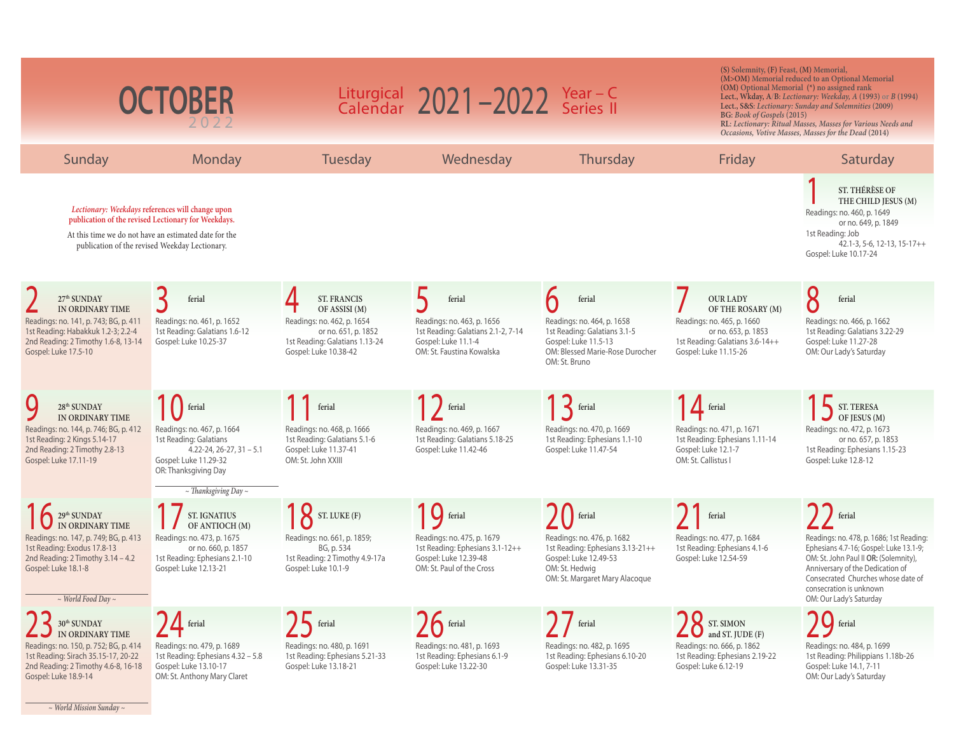| <b>OCTOBER</b>                                                                                     |                                                                                                                                                                                                                    |                                                                    | Liturgical $2021 - 2022$ Year - C<br>Calendar $2021 - 2022$ Series II |                                                                           |                                                                        | (S) Solemnity, (F) Feast, (M) Memorial,<br>(M>OM) Memorial reduced to an Optional Memorial<br>(OM) Optional Memorial (*) no assigned rank<br>Lect., Wkday, A/B: Lectionary: Weekday, A (1993) or B (1994)<br>Lect., S&S: Lectionary: Sunday and Solemnities (2009)<br>BG: Book of Gospels (2015)<br>RL: Lectionary: Ritual Masses, Masses for Various Needs and<br>Occasions, Votive Masses, Masses for the Dead (2014) |  |  |
|----------------------------------------------------------------------------------------------------|--------------------------------------------------------------------------------------------------------------------------------------------------------------------------------------------------------------------|--------------------------------------------------------------------|-----------------------------------------------------------------------|---------------------------------------------------------------------------|------------------------------------------------------------------------|-------------------------------------------------------------------------------------------------------------------------------------------------------------------------------------------------------------------------------------------------------------------------------------------------------------------------------------------------------------------------------------------------------------------------|--|--|
| Sunday                                                                                             | Monday                                                                                                                                                                                                             | <b>Tuesday</b>                                                     | Wednesday                                                             | Thursday                                                                  | Friday                                                                 | Saturday                                                                                                                                                                                                                                                                                                                                                                                                                |  |  |
|                                                                                                    | Lectionary: Weekdays references will change upon<br>publication of the revised Lectionary for Weekdays.<br>At this time we do not have an estimated date for the<br>publication of the revised Weekday Lectionary. |                                                                    |                                                                       |                                                                           |                                                                        | ST. THÉRÈSE OF<br>THE CHILD JESUS (M)<br>Readings: no. 460, p. 1649<br>or no. 649, p. 1849<br>1st Reading: Job<br>$42.1 - 3, 5 - 6, 12 - 13, 15 - 17 + +$<br>Gospel: Luke 10.17-24                                                                                                                                                                                                                                      |  |  |
| 27th SUNDAY                                                                                        | ferial                                                                                                                                                                                                             | <b>ST. FRANCIS</b>                                                 | ferial                                                                | ferial                                                                    | <b>OUR LADY</b>                                                        | 8<br>ferial                                                                                                                                                                                                                                                                                                                                                                                                             |  |  |
| IN ORDINARY TIME<br>Readings: no. 141, p. 743; BG, p. 411<br>1st Reading: Habakkuk 1.2-3; 2.2-4    | Readings: no. 461, p. 1652<br>1st Reading: Galatians 1.6-12                                                                                                                                                        | OF ASSISI (M)<br>Readings: no. 462, p. 1654<br>or no. 651, p. 1852 | Readings: no. 463, p. 1656<br>1st Reading: Galatians 2.1-2, 7-14      | Readings: no. 464, p. 1658<br>1st Reading: Galatians 3.1-5                | OF THE ROSARY (M)<br>Readings: no. 465, p. 1660<br>or no. 653, p. 1853 | Readings: no. 466, p. 1662<br>1st Reading: Galatians 3.22-29                                                                                                                                                                                                                                                                                                                                                            |  |  |
| 2nd Reading: 2 Timothy 1.6-8, 13-14<br>Gospel: Luke 17.5-10                                        | Gospel: Luke 10.25-37                                                                                                                                                                                              | 1st Reading: Galatians 1.13-24<br>Gospel: Luke 10.38-42            | Gospel: Luke 11.1-4<br>OM: St. Faustina Kowalska                      | Gospel: Luke 11.5-13<br>OM: Blessed Marie-Rose Durocher<br>OM: St. Bruno  | 1st Reading: Galatians 3.6-14++<br>Gospel: Luke 11.15-26               | Gospel: Luke 11.27-28<br>OM: Our Lady's Saturday                                                                                                                                                                                                                                                                                                                                                                        |  |  |
| 28 <sup>th</sup> SUNDAY                                                                            | <sup>f</sup> ferial                                                                                                                                                                                                | ferial                                                             | ferial                                                                | $\vert \mathbf{R} \vert$ ferial                                           | <b>I</b> ferial                                                        | ST. TERESA                                                                                                                                                                                                                                                                                                                                                                                                              |  |  |
| IN ORDINARY TIME<br>Readings: no. 144, p. 746; BG, p. 412<br>1st Reading: 2 Kings 5.14-17          | Readings: no. 467, p. 1664<br>1st Reading: Galatians                                                                                                                                                               | Readings: no. 468, p. 1666<br>1st Reading: Galatians 5.1-6         | Readings: no. 469, p. 1667<br>1st Reading: Galatians 5.18-25          | Readings: no. 470, p. 1669<br>1st Reading: Ephesians 1.1-10               | Readings: no. 471, p. 1671<br>1st Reading: Ephesians 1.11-14           | OF JESUS (M)<br>Readings: no. 472, p. 1673<br>or no. 657, p. 1853                                                                                                                                                                                                                                                                                                                                                       |  |  |
| 2nd Reading: 2 Timothy 2.8-13<br>Gospel: Luke 17.11-19                                             | $4.22 - 24$ , 26-27, 31 - 5.1<br>Gospel: Luke 11.29-32<br>OR: Thanksgiving Day                                                                                                                                     | Gospel: Luke 11.37-41<br>OM: St. John XXIII                        | Gospel: Luke 11.42-46                                                 | Gospel: Luke 11.47-54                                                     | Gospel: Luke 12.1-7<br>OM: St. Callistus I                             | 1st Reading: Ephesians 1.15-23<br>Gospel: Luke 12.8-12                                                                                                                                                                                                                                                                                                                                                                  |  |  |
|                                                                                                    | $\sim$ Thanksgiving Day $\sim$                                                                                                                                                                                     |                                                                    |                                                                       |                                                                           |                                                                        |                                                                                                                                                                                                                                                                                                                                                                                                                         |  |  |
| <sup>29th</sup> SUNDAY<br>IN ORDINARY TIME                                                         | <b>ST. IGNATIUS</b><br>OF ANTIOCH (M)                                                                                                                                                                              | ST. LUKE (F)                                                       | <b>IQ</b> ferial                                                      | ferial                                                                    | ferial                                                                 | ferial                                                                                                                                                                                                                                                                                                                                                                                                                  |  |  |
| Readings: no. 147, p. 749; BG, p. 413<br>1st Reading: Exodus 17.8-13                               | Readings: no. 473, p. 1675<br>or no. 660, p. 1857                                                                                                                                                                  | Readings: no. 661, p. 1859;<br>BG, p. 534                          | Readings: no. 475, p. 1679<br>1st Reading: Ephesians 3.1-12++         | Readings: no. 476, p. 1682<br>1st Reading: Ephesians 3.13-21++            | Readings: no. 477, p. 1684<br>1st Reading: Ephesians 4.1-6             | Readings: no. 478, p. 1686; 1st Reading:<br>Ephesians 4.7-16; Gospel: Luke 13.1-9;                                                                                                                                                                                                                                                                                                                                      |  |  |
| 2nd Reading: $2$ Timothy $3.14 - 4.2$<br>Gospel: Luke 18.1-8<br>$\sim$ World Food Day $\sim$       | 1st Reading: Ephesians 2.1-10<br>Gospel: Luke 12.13-21                                                                                                                                                             | 1st Reading: 2 Timothy 4.9-17a<br>Gospel: Luke 10.1-9              | Gospel: Luke 12.39-48<br>OM: St. Paul of the Cross                    | Gospel: Luke 12.49-53<br>OM: St. Hedwig<br>OM: St. Margaret Mary Alacoque | Gospel: Luke 12.54-59                                                  | OM: St. John Paul II OR: (Solemnity),<br>Anniversary of the Dedication of<br>Consecrated Churches whose date of<br>consecration is unknown<br>OM: Our Lady's Saturday                                                                                                                                                                                                                                                   |  |  |
| $30^{\rm th}\,\rm SUNDAY$                                                                          | $24$ ferial                                                                                                                                                                                                        | $75$ ferial                                                        | $\sum$ ferial                                                         | ferial                                                                    | ST. SIMON                                                              | $70$ ferial                                                                                                                                                                                                                                                                                                                                                                                                             |  |  |
| IN ORDINARY TIME<br>Readings: no. 150, p. 752; BG, p. 414                                          | Readings: no. 479, p. 1689                                                                                                                                                                                         | Readings: no. 480, p. 1691                                         | Readings: no. 481, p. 1693                                            | Readings: no. 482, p. 1695                                                | and ST. JUDE (F)<br>Readings: no. 666, p. 1862                         | Readings: no. 484, p. 1699                                                                                                                                                                                                                                                                                                                                                                                              |  |  |
| 1st Reading: Sirach 35.15-17, 20-22<br>2nd Reading: 2 Timothy 4.6-8, 16-18<br>Gospel: Luke 18.9-14 | 1st Reading: Ephesians 4.32 - 5.8<br>Gospel: Luke 13.10-17<br>OM: St. Anthony Mary Claret                                                                                                                          | 1st Reading: Ephesians 5.21-33<br>Gospel: Luke 13.18-21            | 1st Reading: Ephesians 6.1-9<br>Gospel: Luke 13.22-30                 | 1st Reading: Ephesians 6.10-20<br>Gospel: Luke 13.31-35                   | 1st Reading: Ephesians 2.19-22<br>Gospel: Luke 6.12-19                 | 1st Reading: Philippians 1.18b-26<br>Gospel: Luke 14.1, 7-11<br>OM: Our Lady's Saturday                                                                                                                                                                                                                                                                                                                                 |  |  |

*~ World Mission Sunday ~*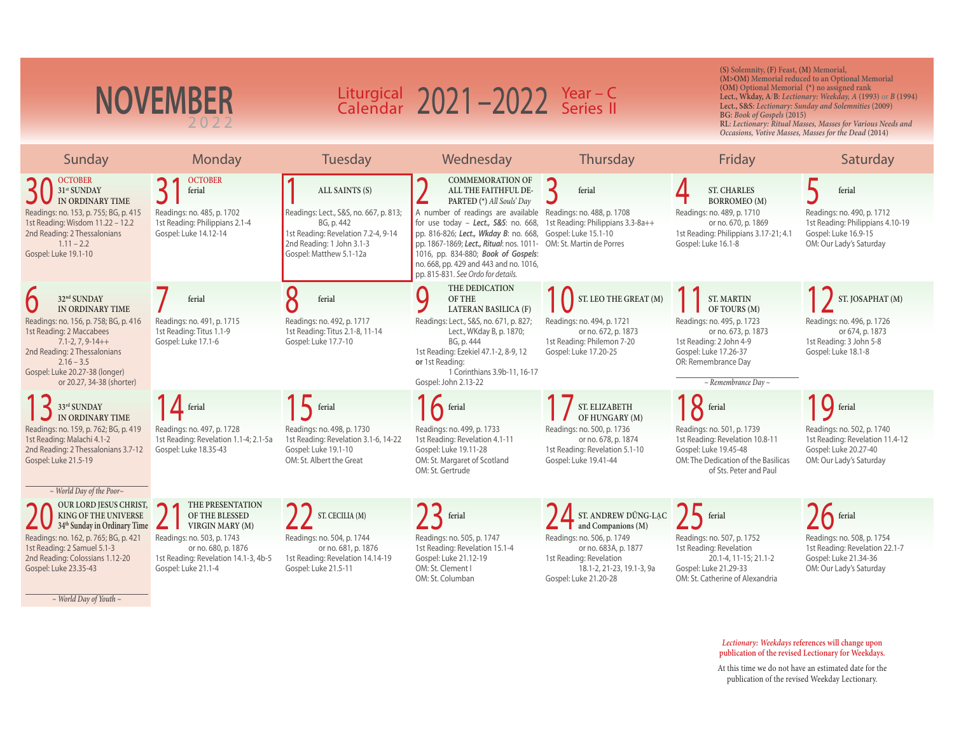| <b>NOVEMBER</b>                                                                                                                                                                                                                                                              |                                                                                                                                                                                        |                                                                                                                                                                       | Liturgical $2021 - 2022$ Year - C<br>Calendar $2021 - 2022$ Series II                                                                                                                                                                                                                                                                                                  |                                                                                                                                                                                                 | (S) Solemnity, (F) Feast, (M) Memorial,<br>(OM) Optional Memorial (*) no assigned rank<br>BG: Book of Gospels (2015)                                                                               | (M>OM) Memorial reduced to an Optional Memorial<br>Lect., Wkday, A/B: Lectionary: Weekday, A (1993) or B (1994)<br>Lect., S&S: Lectionary: Sunday and Solemnities (2009)<br>RL: Lectionary: Ritual Masses, Masses for Various Needs and<br>Occasions, Votive Masses, Masses for the Dead (2014) |
|------------------------------------------------------------------------------------------------------------------------------------------------------------------------------------------------------------------------------------------------------------------------------|----------------------------------------------------------------------------------------------------------------------------------------------------------------------------------------|-----------------------------------------------------------------------------------------------------------------------------------------------------------------------|------------------------------------------------------------------------------------------------------------------------------------------------------------------------------------------------------------------------------------------------------------------------------------------------------------------------------------------------------------------------|-------------------------------------------------------------------------------------------------------------------------------------------------------------------------------------------------|----------------------------------------------------------------------------------------------------------------------------------------------------------------------------------------------------|-------------------------------------------------------------------------------------------------------------------------------------------------------------------------------------------------------------------------------------------------------------------------------------------------|
| Sunday                                                                                                                                                                                                                                                                       | Monday                                                                                                                                                                                 | Tuesday                                                                                                                                                               | Wednesday                                                                                                                                                                                                                                                                                                                                                              | Thursday                                                                                                                                                                                        | Friday                                                                                                                                                                                             | Saturday                                                                                                                                                                                                                                                                                        |
| <b>OCTOBER</b><br>31 <sup>st</sup> SUNDAY<br>IN ORDINARY TIME<br>Readings: no. 153, p. 755; BG, p. 415<br>1st Reading: Wisdom 11.22 - 12.2<br>2nd Reading: 2 Thessalonians<br>$1.11 - 2.2$<br>Gospel: Luke 19.1-10                                                           | <b>OCTOBER</b><br>ferial<br>Readings: no. 485, p. 1702<br>1st Reading: Philippians 2.1-4<br>Gospel: Luke 14.12-14                                                                      | ALL SAINTS (S)<br>Readings: Lect., S&S, no. 667, p. 813;<br>BG, p. 442<br>1st Reading: Revelation 7.2-4, 9-14<br>2nd Reading: 1 John 3.1-3<br>Gospel: Matthew 5.1-12a | <b>COMMEMORATION OF</b><br>ALL THE FAITHFUL DE-<br>PARTED (*) All Souls' Day<br>A number of readings are available<br>for use today - Lect., S&S: no. 668,<br>pp. 816-826; Lect., Wkday B: no. 668,<br>pp. 1867-1869; Lect., Ritual: nos. 1011-<br>1016, pp. 834-880; Book of Gospels:<br>no. 668, pp. 429 and 443 and no. 1016,<br>pp. 815-831. See Ordo for details. | ferial<br>Readings: no. 488, p. 1708<br>1st Reading: Philippians 3.3-8a++<br>Gospel: Luke 15.1-10<br>OM: St. Martin de Porres                                                                   | <b>ST. CHARLES</b><br><b>BORROMEO</b> (M)<br>Readings: no. 489, p. 1710<br>or no. 670, p. 1869<br>1st Reading: Philippians 3.17-21; 4.1<br>Gospel: Luke 16.1-8                                     | ferial<br>Readings: no. 490, p. 1712<br>1st Reading: Philippians 4.10-19<br>Gospel: Luke 16.9-15<br>OM: Our Lady's Saturday                                                                                                                                                                     |
| 32 <sup>nd</sup> SUNDAY<br>IN ORDINARY TIME<br>Readings: no. 156, p. 758; BG, p. 416<br>1st Reading: 2 Maccabees<br>$7.1 - 2, 7, 9 - 14 + +$<br>2nd Reading: 2 Thessalonians<br>$2.16 - 3.5$<br>Gospel: Luke 20.27-38 (longer)<br>or 20.27, 34-38 (shorter)                  | ferial<br>Readings: no. 491, p. 1715<br>1st Reading: Titus 1.1-9<br>Gospel: Luke 17.1-6                                                                                                | 0<br>ferial<br>Readings: no. 492, p. 1717<br>1st Reading: Titus 2.1-8, 11-14<br>Gospel: Luke 17.7-10                                                                  | THE DEDICATION<br>Q<br>OF THE<br><b>LATERAN BASILICA (F)</b><br>Readings: Lect., S&S, no. 671, p. 827;<br>Lect., WKday B, p. 1870;<br>BG, p. 444<br>1st Reading: Ezekiel 47.1-2, 8-9, 12<br>or 1st Reading:<br>1 Corinthians 3.9b-11, 16-17<br>Gospel: John 2.13-22                                                                                                    | $\left\{ \quad \right\}$ ST. LEO THE GREAT $(M)$<br>Readings: no. 494, p. 1721<br>or no. 672, p. 1873<br>1st Reading: Philemon 7-20<br>Gospel: Luke 17.20-25                                    | <b>ST. MARTIN</b><br>OF TOURS (M)<br>Readings: no. 495, p. 1723<br>or no. 673, p. 1873<br>1st Reading: 2 John 4-9<br>Gospel: Luke 17.26-37<br>OR: Remembrance Day<br>$\sim$ Remembrance Day $\sim$ | ST. JOSAPHAT (M)<br>Readings: no. 496, p. 1726<br>or 674, p. 1873<br>1st Reading: 3 John 5-8<br>Gospel: Luke 18.1-8                                                                                                                                                                             |
| 33rd SUNDAY<br>IN ORDINARY TIME<br>Readings: no. 159, p. 762; BG, p. 419<br>1st Reading: Malachi 4.1-2<br>2nd Reading: 2 Thessalonians 3.7-12<br>Gospel: Luke 21.5-19                                                                                                        | $\frac{1}{\sqrt{2}}$ ferial<br>Readings: no. 497, p. 1728<br>1st Reading: Revelation 1.1-4; 2.1-5a<br>Gospel: Luke 18.35-43                                                            | ferial<br>Readings: no. 498, p. 1730<br>1st Reading: Revelation 3.1-6, 14-22<br>Gospel: Luke 19.1-10<br>OM: St. Albert the Great                                      | $\bigcap$ ferial<br>Readings: no. 499, p. 1733<br>1st Reading: Revelation 4.1-11<br>Gospel: Luke 19.11-28<br>OM: St. Margaret of Scotland<br>OM: St. Gertrude                                                                                                                                                                                                          | ST. ELIZABETH<br>OF HUNGARY (M)<br>Readings: no. 500, p. 1736<br>or no. 678, p. 1874<br>1st Reading: Revelation 5.1-10<br>Gospel: Luke 19.41-44                                                 | <b>X</b> ferial<br>Readings: no. 501, p. 1739<br>1st Reading: Revelation 10.8-11<br>Gospel: Luke 19.45-48<br>OM: The Dedication of the Basilicas<br>of Sts. Peter and Paul                         | G ferial<br>Readings: no. 502, p. 1740<br>1st Reading: Revelation 11.4-12<br>Gospel: Luke 20.27-40<br>OM: Our Lady's Saturday                                                                                                                                                                   |
| $\sim$ World Day of the Poor $\sim$<br><b>OUR LORD JESUS CHRIST,</b><br>KING OF THE UNIVERSE<br>34 <sup>th</sup> Sunday in Ordinary Time<br>Readings: no. 162, p. 765; BG, p. 421<br>1st Reading: 2 Samuel 5.1-3<br>2nd Reading: Colossians 1.12-20<br>Gospel: Luke 23.35-43 | THE PRESENTATION<br>$\bigcap$<br>OF THE BLESSED<br>VIRGIN MARY (M)<br>Readings: no. 503, p. 1743<br>or no. 680, p. 1876<br>1st Reading: Revelation 14.1-3, 4b-5<br>Gospel: Luke 21.1-4 | ST. CECILIA (M)<br>Readings: no. 504, p. 1744<br>or no. 681, p. 1876<br>1st Reading: Revelation 14.14-19<br>Gospel: Luke 21.5-11                                      | $\left\{\right.$ ferial<br>Readings: no. 505, p. 1747<br>1st Reading: Revelation 15.1-4<br>Gospel: Luke 21.12-19<br>OM: St. Clement I<br>OM: St. Columban                                                                                                                                                                                                              | ST. ANDREW DÚNG-LẠC<br>$\blacksquare$ and Companions (M)<br>Readings: no. 506, p. 1749<br>or no. 683A, p. 1877<br>1st Reading: Revelation<br>18.1-2, 21-23, 19.1-3, 9a<br>Gospel: Luke 21.20-28 | $\sum$ ferial<br>Readings: no. 507, p. 1752<br>1st Reading: Revelation<br>20.1-4, 11-15; 21.1-2<br>Gospel: Luke 21.29-33<br>OM: St. Catherine of Alexandria                                        | $\sum$ ferial<br>Readings: no. 508, p. 1754<br>1st Reading: Revelation 22.1-7<br>Gospel: Luke 21.34-36<br>OM: Our Lady's Saturday                                                                                                                                                               |

*~ World Day of Youth ~*

*Lectionary: Weekdays* **references will change upon publication of the revised Lectionary for Weekdays.**

At this time we do not have an estimated date for the publication of the revised Weekday Lectionary.